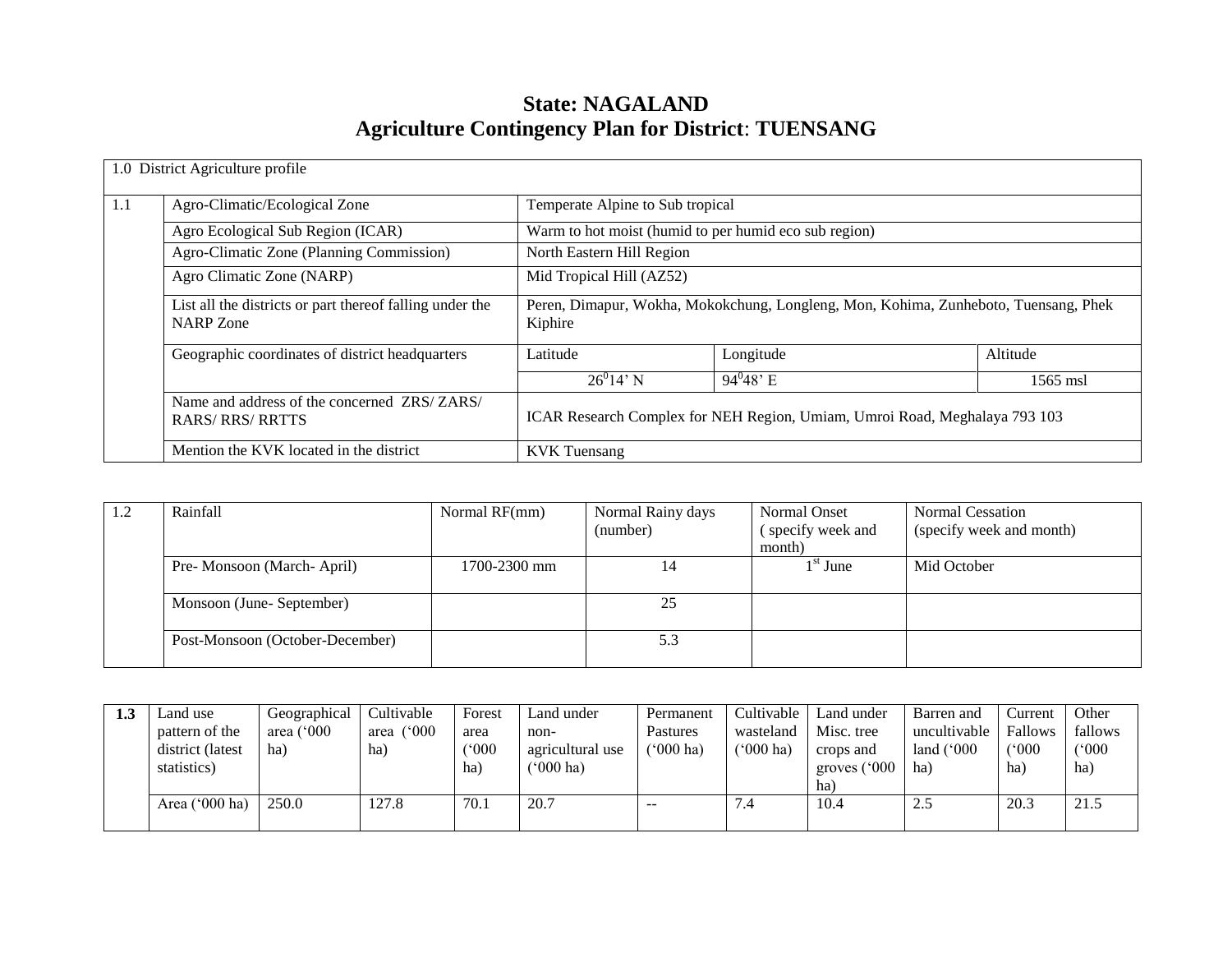# **State: NAGALAND Agriculture Contingency Plan for District**: **TUENSANG**

|     | 1.0 District Agriculture profile                                             |                                                                            |                                                                                     |            |  |  |  |
|-----|------------------------------------------------------------------------------|----------------------------------------------------------------------------|-------------------------------------------------------------------------------------|------------|--|--|--|
| 1.1 | Agro-Climatic/Ecological Zone                                                | Temperate Alpine to Sub tropical                                           |                                                                                     |            |  |  |  |
|     | Agro Ecological Sub Region (ICAR)                                            | Warm to hot moist (humid to per humid eco sub region)                      |                                                                                     |            |  |  |  |
|     | Agro-Climatic Zone (Planning Commission)                                     | North Eastern Hill Region                                                  |                                                                                     |            |  |  |  |
|     | Agro Climatic Zone (NARP)                                                    | Mid Tropical Hill (AZ52)                                                   |                                                                                     |            |  |  |  |
|     | List all the districts or part thereof falling under the<br><b>NARP</b> Zone | Kiphire                                                                    | Peren, Dimapur, Wokha, Mokokchung, Longleng, Mon, Kohima, Zunheboto, Tuensang, Phek |            |  |  |  |
|     | Geographic coordinates of district headquarters                              | Latitude                                                                   | Longitude                                                                           | Altitude   |  |  |  |
|     |                                                                              | $26^{0}14'$ N                                                              | $94^{0}48$ <sup>'</sup> E                                                           | $1565$ msl |  |  |  |
|     | Name and address of the concerned ZRS/ZARS/<br><b>RARS/RRS/RRTTS</b>         | ICAR Research Complex for NEH Region, Umiam, Umroi Road, Meghalaya 793 103 |                                                                                     |            |  |  |  |
|     | Mention the KVK located in the district                                      | <b>KVK</b> Tuensang                                                        |                                                                                     |            |  |  |  |

| 1.4 | Rainfall                        | Normal RF(mm) | Normal Rainy days | Normal Onset      | <b>Normal Cessation</b>  |
|-----|---------------------------------|---------------|-------------------|-------------------|--------------------------|
|     |                                 |               | (number)          | (specify week and | (specify week and month) |
|     |                                 |               |                   | month)            |                          |
|     | Pre-Monsoon (March-April)       | 1700-2300 mm  | 14                | $1st$ June        | Mid October              |
|     |                                 |               |                   |                   |                          |
|     | Monsoon (June-September)        |               | 25                |                   |                          |
|     |                                 |               |                   |                   |                          |
|     | Post-Monsoon (October-December) |               | 5.3               |                   |                          |
|     |                                 |               |                   |                   |                          |

| 1. . J | Land use         | Geographical        | Cultivable     | Forest        | Land under       | Permanent              | Cultivable   | Land under      | Barren and          | Current | Other        |
|--------|------------------|---------------------|----------------|---------------|------------------|------------------------|--------------|-----------------|---------------------|---------|--------------|
|        | pattern of the   | area $(^{\circ}000$ | (°000)<br>area | area          | non-             | Pastures               | wasteland    | Misc. tree      | uncultivable        | Fallows | fallows      |
|        | district (latest | ha)                 | ha)            | $000^{\circ}$ | agricultural use | $(^{o}000 \text{ ha})$ | $(5000)$ ha) | crops and       | land $(^{\circ}000$ | (°000)  | $(000)^{10}$ |
|        | statistics)      |                     |                | ha)           | ('000 ha)        |                        |              | groves ('000    | ha)                 | ha)     | ha           |
|        |                  |                     |                |               |                  |                        |              | ha <sup>'</sup> |                     |         |              |
|        | Area ('000 ha)   | 250.0               | 127.8          | 70.1          | 20.7             | $- -$                  | 7.4          | 10.4            | 2.5                 | 20.3    | 21.5         |
|        |                  |                     |                |               |                  |                        |              |                 |                     |         |              |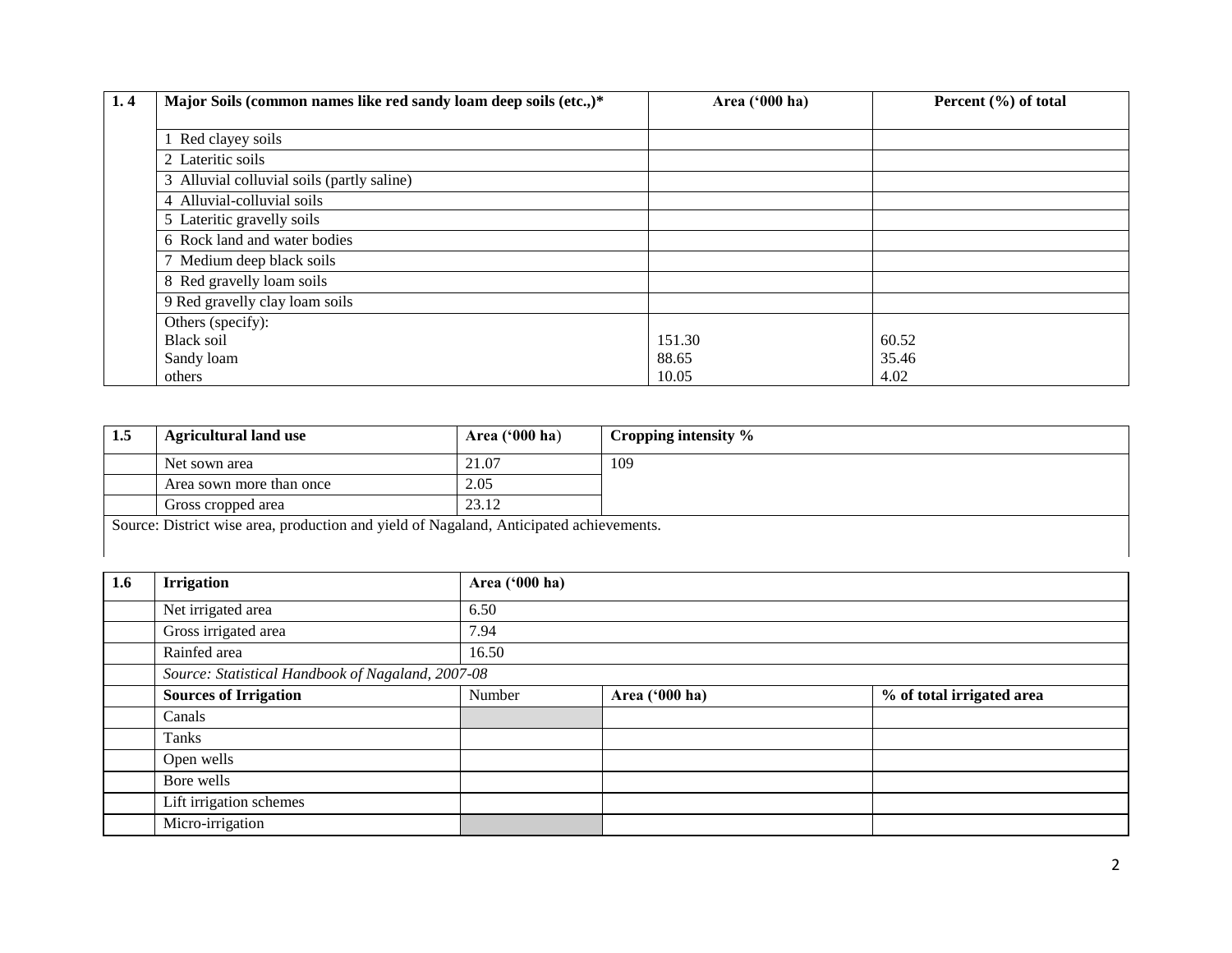| 1, 4 | Major Soils (common names like red sandy loam deep soils (etc.,)* | Area ('000 ha) | Percent (%) of total |
|------|-------------------------------------------------------------------|----------------|----------------------|
|      |                                                                   |                |                      |
|      | Red clayey soils                                                  |                |                      |
|      | 2 Lateritic soils                                                 |                |                      |
|      | 3 Alluvial colluvial soils (partly saline)                        |                |                      |
|      | 4 Alluvial-colluvial soils                                        |                |                      |
|      | 5 Lateritic gravelly soils                                        |                |                      |
|      | 6 Rock land and water bodies                                      |                |                      |
|      | 7 Medium deep black soils                                         |                |                      |
|      | 8 Red gravelly loam soils                                         |                |                      |
|      | 9 Red gravelly clay loam soils                                    |                |                      |
|      | Others (specify):                                                 |                |                      |
|      | <b>Black soil</b>                                                 | 151.30         | 60.52                |
|      | Sandy loam                                                        | 88.65          | 35.46                |
|      | others                                                            | 10.05          | 4.02                 |

| 1.5                         | <b>Agricultural land use</b>                                                            | Area $(900 \text{ ha})$ | Cropping intensity % |
|-----------------------------|-----------------------------------------------------------------------------------------|-------------------------|----------------------|
|                             | Net sown area                                                                           | 21.07                   | 109                  |
|                             | Area sown more than once                                                                | 2.05                    |                      |
| 23.12<br>Gross cropped area |                                                                                         |                         |                      |
|                             | Source: District wise area, production and yield of Nagaland, Anticipated achievements. |                         |                      |

| 1.6 | <b>Irrigation</b>                                 | Area ('000 ha) |                |                           |  |  |  |  |  |
|-----|---------------------------------------------------|----------------|----------------|---------------------------|--|--|--|--|--|
|     | Net irrigated area                                | 6.50           |                |                           |  |  |  |  |  |
|     | Gross irrigated area                              | 7.94           |                |                           |  |  |  |  |  |
|     | Rainfed area                                      | 16.50          |                |                           |  |  |  |  |  |
|     | Source: Statistical Handbook of Nagaland, 2007-08 |                |                |                           |  |  |  |  |  |
|     | <b>Sources of Irrigation</b>                      | Number         | Area ('000 ha) | % of total irrigated area |  |  |  |  |  |
|     | Canals                                            |                |                |                           |  |  |  |  |  |
|     | Tanks                                             |                |                |                           |  |  |  |  |  |
|     | Open wells                                        |                |                |                           |  |  |  |  |  |
|     | Bore wells                                        |                |                |                           |  |  |  |  |  |
|     | Lift irrigation schemes                           |                |                |                           |  |  |  |  |  |
|     | Micro-irrigation                                  |                |                |                           |  |  |  |  |  |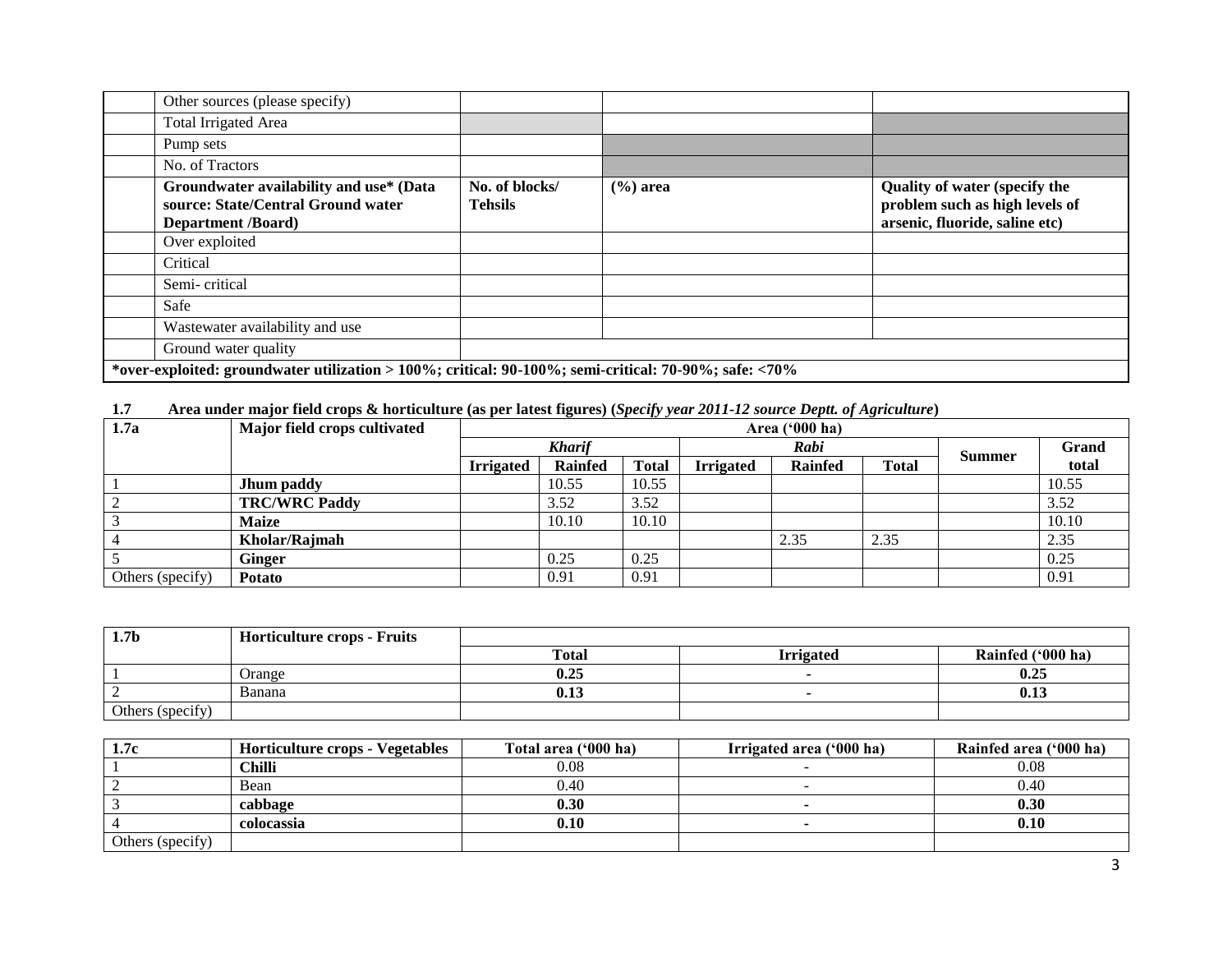| Other sources (please specify)                                                                             |                                  |              |                                                                                                   |
|------------------------------------------------------------------------------------------------------------|----------------------------------|--------------|---------------------------------------------------------------------------------------------------|
| <b>Total Irrigated Area</b>                                                                                |                                  |              |                                                                                                   |
| Pump sets                                                                                                  |                                  |              |                                                                                                   |
| No. of Tractors                                                                                            |                                  |              |                                                                                                   |
| Groundwater availability and use* (Data<br>source: State/Central Ground water<br><b>Department</b> /Board) | No. of blocks/<br><b>Tehsils</b> | $(\% )$ area | Quality of water (specify the<br>problem such as high levels of<br>arsenic, fluoride, saline etc) |
| Over exploited                                                                                             |                                  |              |                                                                                                   |
| Critical                                                                                                   |                                  |              |                                                                                                   |
| Semi-critical                                                                                              |                                  |              |                                                                                                   |
| Safe                                                                                                       |                                  |              |                                                                                                   |
| Wastewater availability and use                                                                            |                                  |              |                                                                                                   |
| Ground water quality                                                                                       |                                  |              |                                                                                                   |
| *over-exploited: groundwater utilization > 100%; critical: $90-100\%$ ; semi-critical: 70-90%; safe: <70%  |                                  |              |                                                                                                   |

### **1.7 Area under major field crops & horticulture (as per latest figures) (***Specify year 2011-12 source Deptt. of Agriculture***)**

| 1.7a             | Major field crops cultivated | .<br>Area $('000 ha)$ |                |              |                  |                |              |               |       |
|------------------|------------------------------|-----------------------|----------------|--------------|------------------|----------------|--------------|---------------|-------|
|                  |                              |                       | <b>Kharif</b>  |              | Rabi             |                |              | <b>Summer</b> | Grand |
|                  |                              | <b>Irrigated</b>      | <b>Rainfed</b> | <b>Total</b> | <b>Irrigated</b> | <b>Rainfed</b> | <b>Total</b> |               | total |
|                  | Jhum paddy                   |                       | 10.55          | 10.55        |                  |                |              |               | 10.55 |
|                  | <b>TRC/WRC Paddy</b>         |                       | 3.52           | 3.52         |                  |                |              |               | 3.52  |
|                  | <b>Maize</b>                 |                       | 10.10          | 10.10        |                  |                |              |               | 10.10 |
|                  | Kholar/Rajmah                |                       |                |              |                  | 2.35           | 2.35         |               | 2.35  |
|                  | Ginger                       |                       | 0.25           | 0.25         |                  |                |              |               | 0.25  |
| Others (specify) | <b>Potato</b>                |                       | 0.91           | 0.91         |                  |                |              |               | 0.91  |

| 1.7 <sub>b</sub> | <b>Horticulture crops - Fruits</b> |              |                  |                   |
|------------------|------------------------------------|--------------|------------------|-------------------|
|                  |                                    | <b>Total</b> | <b>Irrigated</b> | Rainfed ('000 ha) |
|                  | Orange                             | 0.25         |                  | 0.25              |
|                  | Banana                             | 0.13         |                  | 0.13              |
| Others (specify) |                                    |              |                  |                   |

| 1.7c             | <b>Horticulture crops - Vegetables</b> | Total area ('000 ha) | Irrigated area ('000 ha) | Rainfed area ('000 ha) |
|------------------|----------------------------------------|----------------------|--------------------------|------------------------|
|                  | Chilli                                 | 0.08                 |                          | 0.08                   |
|                  | Bean                                   | 0.40                 |                          | 0.40                   |
|                  | cabbage                                | 0.30                 |                          | 0.30                   |
|                  | colocassia                             | $0.10\,$             |                          | 0.10                   |
| Others (specify) |                                        |                      |                          |                        |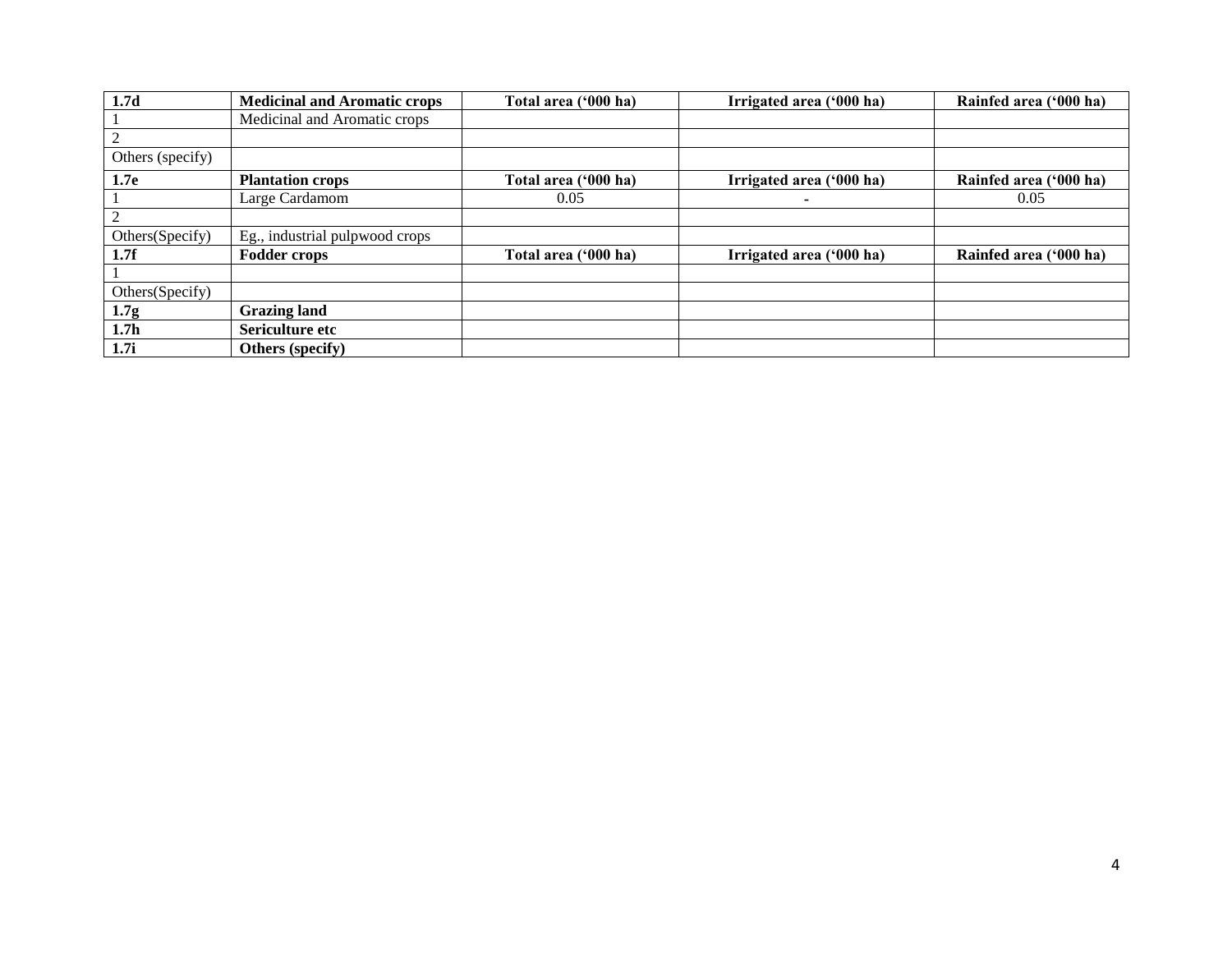| 1.7d             | <b>Medicinal and Aromatic crops</b> | Total area ('000 ha) | Irrigated area ('000 ha) | Rainfed area ('000 ha) |
|------------------|-------------------------------------|----------------------|--------------------------|------------------------|
|                  | Medicinal and Aromatic crops        |                      |                          |                        |
| 2                |                                     |                      |                          |                        |
| Others (specify) |                                     |                      |                          |                        |
| 1.7 <sub>e</sub> | <b>Plantation crops</b>             | Total area ('000 ha) | Irrigated area ('000 ha) | Rainfed area ('000 ha) |
|                  | Large Cardamom                      | 0.05                 | -                        | 0.05                   |
| $\overline{2}$   |                                     |                      |                          |                        |
| Others(Specify)  | Eg., industrial pulpwood crops      |                      |                          |                        |
| 1.7f             | <b>Fodder crops</b>                 | Total area ('000 ha) | Irrigated area ('000 ha) | Rainfed area ('000 ha) |
|                  |                                     |                      |                          |                        |
| Others(Specify)  |                                     |                      |                          |                        |
| 1.7 <sub>g</sub> | <b>Grazing land</b>                 |                      |                          |                        |
| 1.7 <sub>h</sub> | Sericulture etc                     |                      |                          |                        |
| 1.7i             | Others (specify)                    |                      |                          |                        |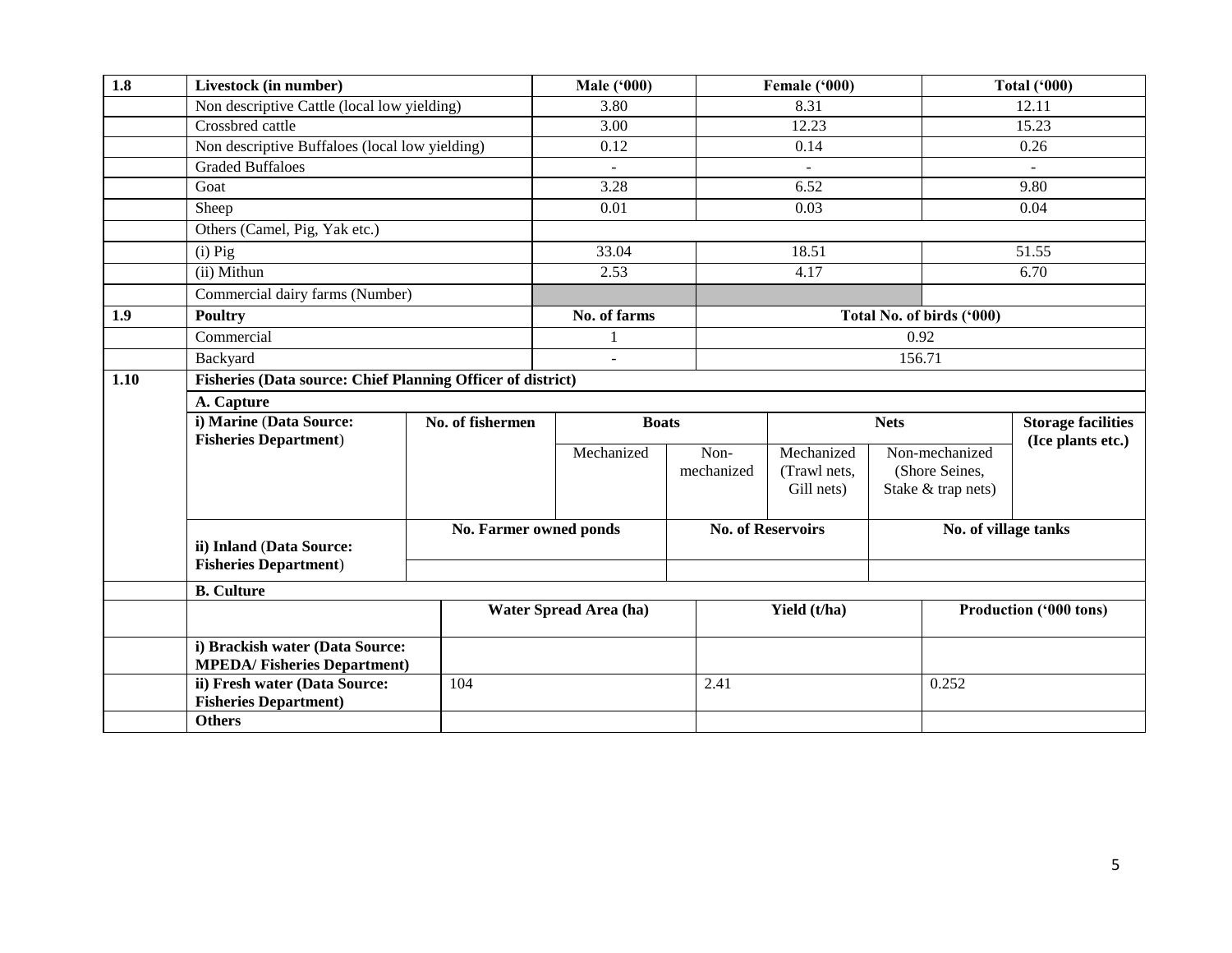| 1.8  | Livestock (in number)                                       |                        | <b>Male ('000)</b>     |                    | Female ('000)              |  |                                  | <b>Total ('000)</b>    |  |
|------|-------------------------------------------------------------|------------------------|------------------------|--------------------|----------------------------|--|----------------------------------|------------------------|--|
|      | Non descriptive Cattle (local low yielding)                 |                        | 3.80                   |                    | 8.31                       |  |                                  | 12.11                  |  |
|      | Crossbred cattle                                            |                        | 3.00                   |                    | 12.23                      |  | 15.23                            |                        |  |
|      | Non descriptive Buffaloes (local low yielding)              |                        | 0.12                   |                    | 0.14                       |  | 0.26                             |                        |  |
|      | <b>Graded Buffaloes</b>                                     |                        | $\blacksquare$         |                    | $\blacksquare$             |  |                                  | $\sim$                 |  |
|      | Goat                                                        |                        | 3.28                   |                    | 6.52                       |  |                                  | 9.80                   |  |
|      | Sheep                                                       |                        | 0.01                   |                    | 0.03                       |  |                                  | 0.04                   |  |
|      | Others (Camel, Pig, Yak etc.)                               |                        |                        |                    |                            |  |                                  |                        |  |
|      | $(i)$ Pig                                                   |                        | 33.04                  |                    | 18.51                      |  |                                  | 51.55                  |  |
|      | (ii) Mithun                                                 |                        | 2.53                   |                    | 4.17                       |  |                                  | 6.70                   |  |
|      | Commercial dairy farms (Number)                             |                        |                        |                    |                            |  |                                  |                        |  |
| 1.9  | <b>Poultry</b>                                              |                        | No. of farms           |                    |                            |  | Total No. of birds ('000)        |                        |  |
|      | Commercial                                                  |                        | 1                      |                    |                            |  | 0.92                             |                        |  |
|      | Backyard                                                    |                        | $\equiv$               |                    |                            |  | 156.71                           |                        |  |
| 1.10 | Fisheries (Data source: Chief Planning Officer of district) |                        |                        |                    |                            |  |                                  |                        |  |
|      | A. Capture                                                  |                        |                        |                    |                            |  |                                  |                        |  |
|      | i) Marine (Data Source:                                     | No. of fishermen       | <b>Boats</b>           |                    | <b>Nets</b>                |  | <b>Storage facilities</b>        |                        |  |
|      | <b>Fisheries Department)</b>                                |                        |                        |                    |                            |  |                                  | (Ice plants etc.)      |  |
|      |                                                             |                        | Mechanized             | Non-<br>mechanized | Mechanized<br>(Trawl nets, |  | Non-mechanized<br>(Shore Seines, |                        |  |
|      |                                                             |                        |                        |                    | Gill nets)                 |  | Stake & trap nets)               |                        |  |
|      |                                                             |                        |                        |                    |                            |  |                                  |                        |  |
|      |                                                             | No. Farmer owned ponds |                        |                    | <b>No. of Reservoirs</b>   |  | No. of village tanks             |                        |  |
|      | ii) Inland (Data Source:                                    |                        |                        |                    |                            |  |                                  |                        |  |
|      | <b>Fisheries Department)</b>                                |                        |                        |                    |                            |  |                                  |                        |  |
|      | <b>B.</b> Culture                                           |                        |                        |                    |                            |  |                                  |                        |  |
|      |                                                             |                        | Water Spread Area (ha) |                    | Yield (t/ha)               |  |                                  | Production ('000 tons) |  |
|      |                                                             |                        |                        |                    |                            |  |                                  |                        |  |
|      | i) Brackish water (Data Source:                             |                        |                        |                    |                            |  |                                  |                        |  |
|      | <b>MPEDA/Fisheries Department)</b>                          |                        |                        |                    |                            |  |                                  |                        |  |
|      | ii) Fresh water (Data Source:                               | 104                    |                        | 2.41               |                            |  | 0.252                            |                        |  |
|      | <b>Fisheries Department)</b>                                |                        |                        |                    |                            |  |                                  |                        |  |
|      | <b>Others</b>                                               |                        |                        |                    |                            |  |                                  |                        |  |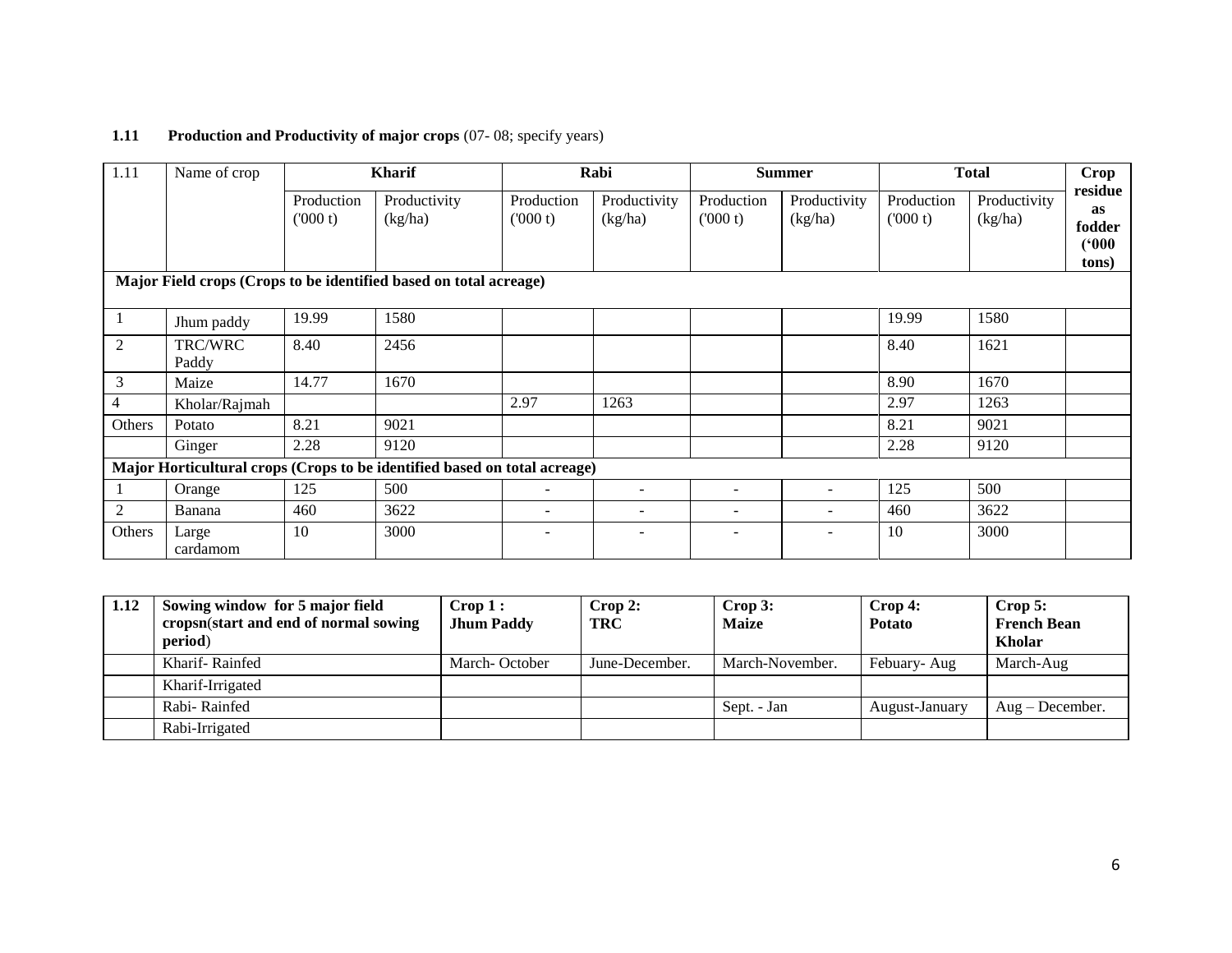# **1.11** Production and Productivity of major crops (07- 08; specify years)

| 1.11           | Name of crop<br><b>Kharif</b> |                       | Rabi                                                                      |                          | <b>Summer</b>            |                          |                         | <b>Total</b>          | <b>Crop</b>             |                                                  |
|----------------|-------------------------------|-----------------------|---------------------------------------------------------------------------|--------------------------|--------------------------|--------------------------|-------------------------|-----------------------|-------------------------|--------------------------------------------------|
|                |                               | Production<br>(000 t) | Productivity<br>(kg/ha)                                                   | Production<br>(000 t)    | Productivity<br>(kg/ha)  | Production<br>(000 t)    | Productivity<br>(kg/ha) | Production<br>(000 t) | Productivity<br>(kg/ha) | residue<br><b>as</b><br>fodder<br>(900)<br>tons) |
|                |                               |                       | Major Field crops (Crops to be identified based on total acreage)         |                          |                          |                          |                         |                       |                         |                                                  |
|                | Jhum paddy                    | 19.99                 | 1580                                                                      |                          |                          |                          |                         | 19.99                 | 1580                    |                                                  |
| $\overline{2}$ | TRC/WRC<br>Paddy              | 8.40                  | 2456                                                                      |                          |                          |                          |                         | 8.40                  | 1621                    |                                                  |
| 3              | Maize                         | 14.77                 | 1670                                                                      |                          |                          |                          |                         | 8.90                  | 1670                    |                                                  |
| 4              | Kholar/Rajmah                 |                       |                                                                           | 2.97                     | 1263                     |                          |                         | 2.97                  | 1263                    |                                                  |
| Others         | Potato                        | 8.21                  | 9021                                                                      |                          |                          |                          |                         | 8.21                  | 9021                    |                                                  |
|                | Ginger                        | 2.28                  | 9120                                                                      |                          |                          |                          |                         | 2.28                  | 9120                    |                                                  |
|                |                               |                       | Major Horticultural crops (Crops to be identified based on total acreage) |                          |                          |                          |                         |                       |                         |                                                  |
|                | Orange                        | 125                   | 500                                                                       | ۰.                       | $\overline{\phantom{a}}$ | $\overline{\phantom{a}}$ | $\sim$                  | 125                   | 500                     |                                                  |
| 2              | Banana                        | 460                   | 3622                                                                      | $\overline{\phantom{a}}$ | $\overline{\phantom{a}}$ | $\overline{\phantom{a}}$ | $\sim$                  | 460                   | 3622                    |                                                  |
| Others         | Large<br>cardamom             | 10                    | 3000                                                                      | $\overline{\phantom{a}}$ | $\overline{\phantom{a}}$ | $\overline{\phantom{a}}$ | $\sim$                  | 10                    | 3000                    |                                                  |

| 1.12 | Sowing window for 5 major field<br>cropsn(start and end of normal sowing<br>period) | $\mathbf{Crop}\,1$ :<br><b>Jhum Paddy</b> | $\bf{Crop 2:}$<br><b>TRC</b> | Crop 3:<br><b>Maize</b> | $\bf{Crop 4:}$<br><b>Potato</b> | Crop 5:<br><b>French Bean</b><br><b>Kholar</b> |
|------|-------------------------------------------------------------------------------------|-------------------------------------------|------------------------------|-------------------------|---------------------------------|------------------------------------------------|
|      | Kharif-Rainfed                                                                      | March-October                             | June-December.               | March-November.         | Febuary- Aug                    | March-Aug                                      |
|      | Kharif-Irrigated                                                                    |                                           |                              |                         |                                 |                                                |
|      | Rabi-Rainfed                                                                        |                                           |                              | Sept. - Jan             | August-January                  | $Aug - December.$                              |
|      | Rabi-Irrigated                                                                      |                                           |                              |                         |                                 |                                                |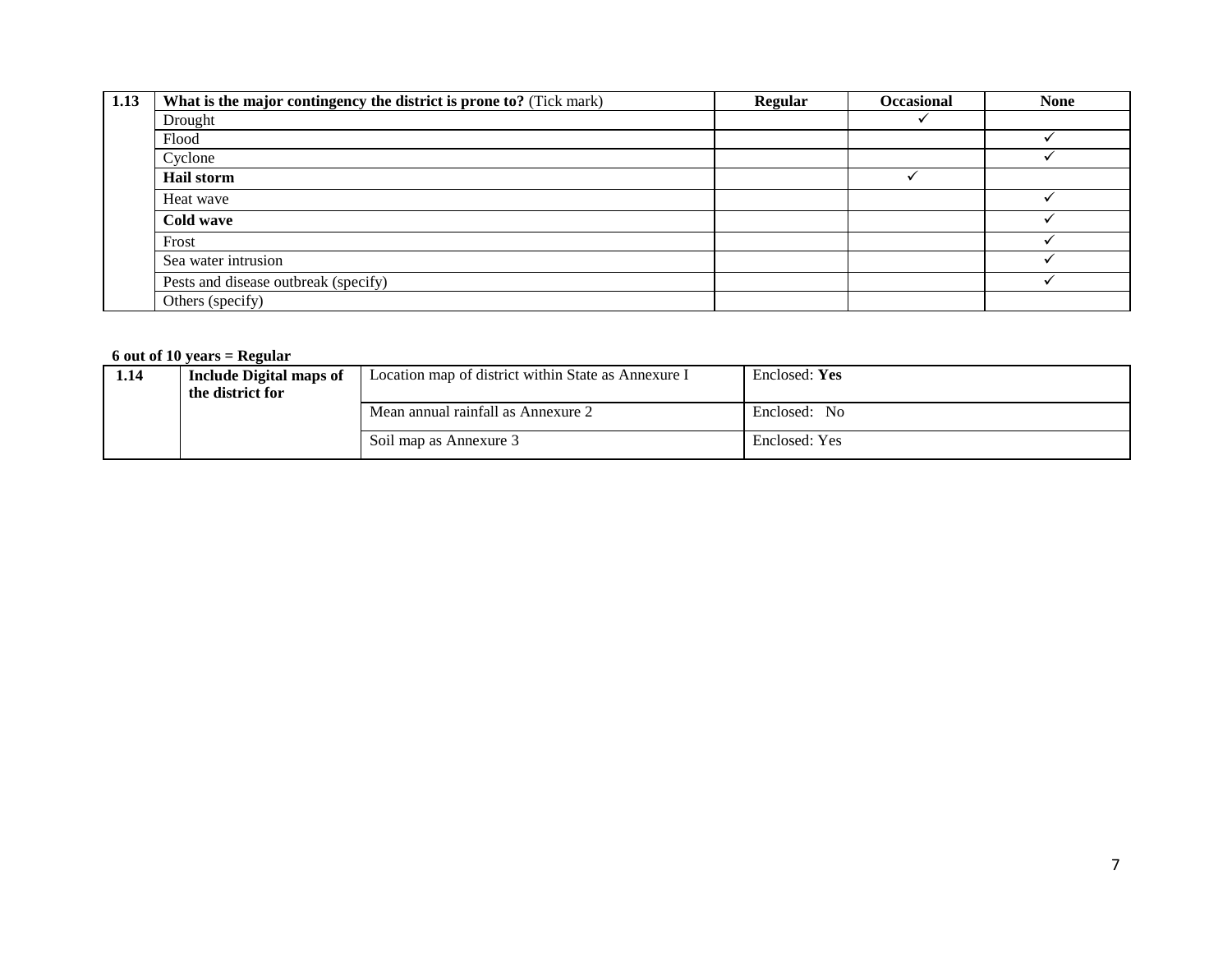| 1.13 | What is the major contingency the district is prone to? (Tick mark) | <b>Regular</b> | <b>Occasional</b> | <b>None</b> |
|------|---------------------------------------------------------------------|----------------|-------------------|-------------|
|      | Drought                                                             |                |                   |             |
|      | Flood                                                               |                |                   |             |
|      | Cyclone                                                             |                |                   |             |
|      | <b>Hail storm</b>                                                   |                |                   |             |
|      | Heat wave                                                           |                |                   |             |
|      | Cold wave                                                           |                |                   |             |
|      | Frost                                                               |                |                   |             |
|      | Sea water intrusion                                                 |                |                   |             |
|      | Pests and disease outbreak (specify)                                |                |                   |             |
|      | Others (specify)                                                    |                |                   |             |

### **6 out of 10 years = Regular**

| 1.14 | Include Digital maps of<br>the district for | Location map of district within State as Annexure I | Enclosed: Yes |
|------|---------------------------------------------|-----------------------------------------------------|---------------|
|      |                                             | Mean annual rainfall as Annexure 2                  | Enclosed: No  |
|      |                                             | Soil map as Annexure 3                              | Enclosed: Yes |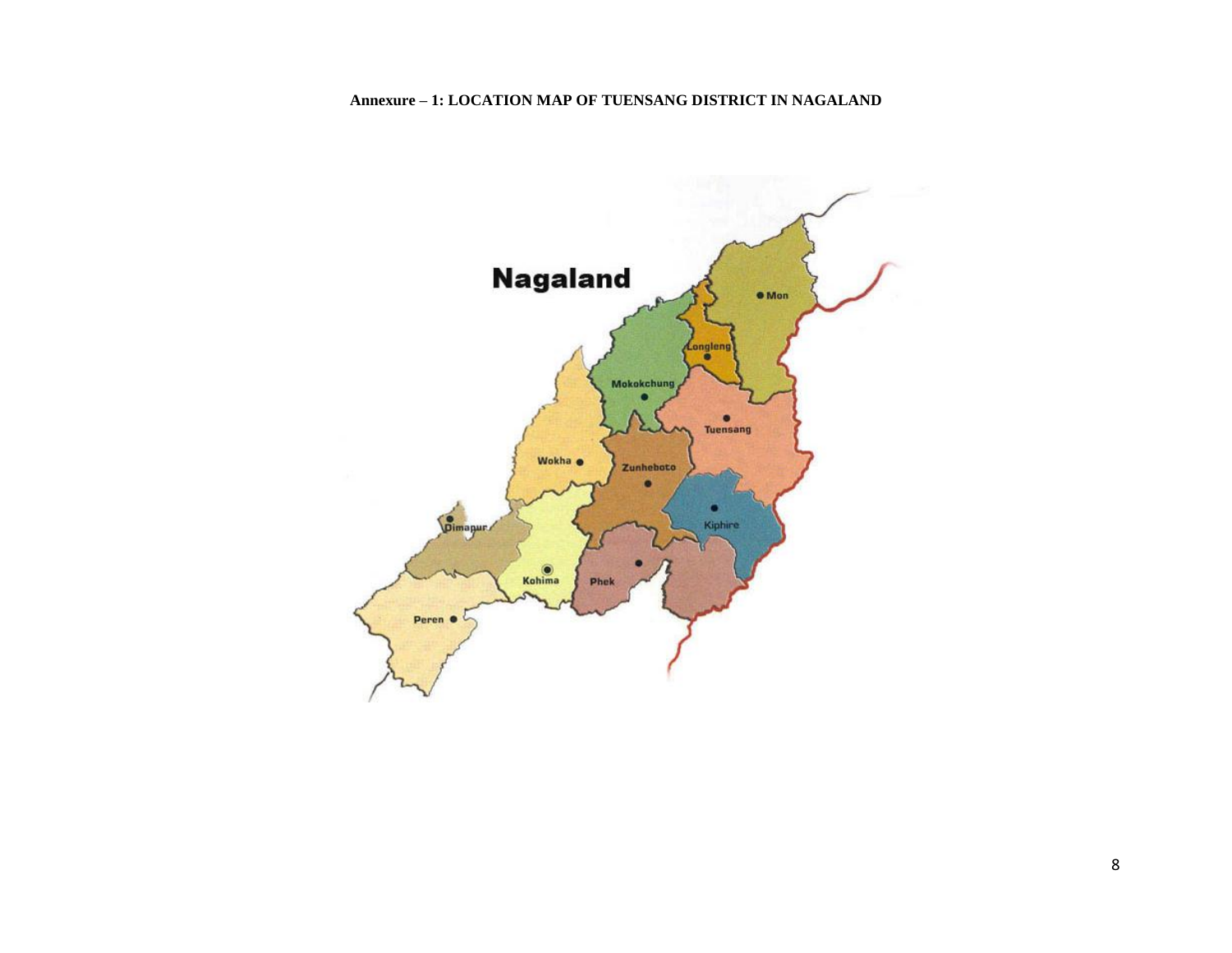### **Annexure – 1: LOCATION MAP OF TUENSANG DISTRICT IN NAGALAND**

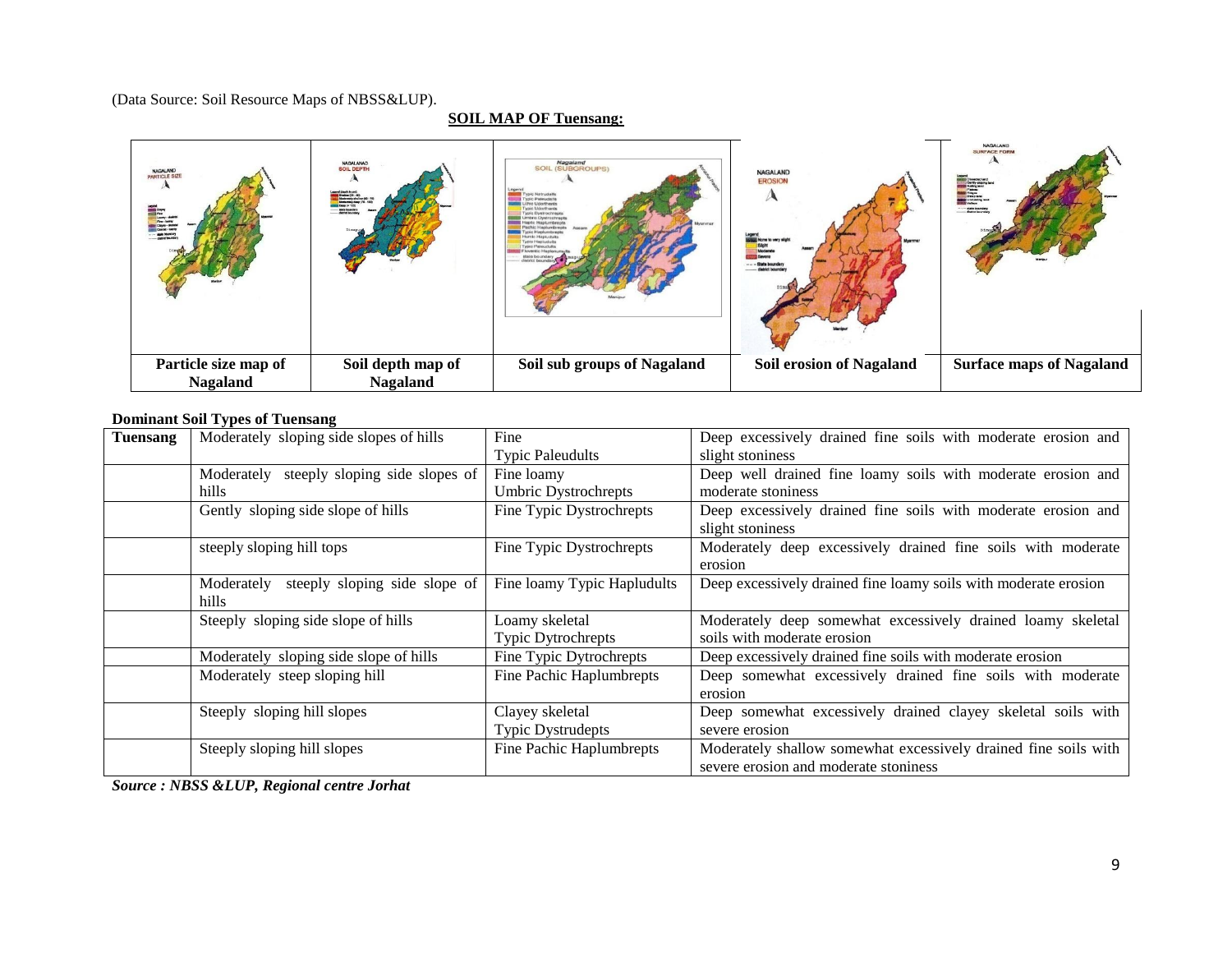(Data Source: Soil Resource Maps of NBSS&LUP).

### **SOIL MAP OF Tuensang:**

| NAGALAND<br>PARTICLE SIZE<br><b>Clayer</b><br>The Pies<br>Learny - skelets<br>First - lookky<br>Clayery - skelets<br>Course - lookky<br>- state boundary<br>-- derive bounder | NAGALANAD<br>SOIL DEPTH<br>and (death in art)<br>  <mark>11</mark> Shelver (25 - 60)<br>  <mark>11</mark> Slodersteiy skaltow (30 -<br> 12 Seep (= 111) | Nagaland<br>SOIL (SUBGROUPS)<br>Ho Natrudal<br>Voic Paleudal<br>voin Udnythum<br>Mathin Hamisevilsteeds<br>ic Hackumbreck<br>Humic Hapkusuki<br><b>Typic Hapitals</b><br><b>Void Paleurium</b><br>state boundary<br>district boundar | <b>NAGALAND</b><br><b>EROSION</b><br>None to very slig<br><b>Myanmer</b><br>Severo<br><b>State boundary</b><br>district bounds | NAGALAND<br>SURFACE FORM<br>Simes land<br>IS Undulating<br>Valence<br>- state bounds<br><b>Satrice Services</b> |
|-------------------------------------------------------------------------------------------------------------------------------------------------------------------------------|---------------------------------------------------------------------------------------------------------------------------------------------------------|--------------------------------------------------------------------------------------------------------------------------------------------------------------------------------------------------------------------------------------|--------------------------------------------------------------------------------------------------------------------------------|-----------------------------------------------------------------------------------------------------------------|
| Particle size map of                                                                                                                                                          | Soil depth map of                                                                                                                                       | Soil sub groups of Nagaland                                                                                                                                                                                                          | <b>Soil erosion of Nagaland</b>                                                                                                | <b>Surface maps of Nagaland</b>                                                                                 |
| <b>Nagaland</b>                                                                                                                                                               | <b>Nagaland</b>                                                                                                                                         |                                                                                                                                                                                                                                      |                                                                                                                                |                                                                                                                 |

### **Dominant Soil Types of Tuensang**

| <b>Tuensang</b> | Moderately sloping side slopes of hills           | Fine                                        | Deep excessively drained fine soils with moderate erosion and                                            |
|-----------------|---------------------------------------------------|---------------------------------------------|----------------------------------------------------------------------------------------------------------|
|                 |                                                   | <b>Typic Paleudults</b>                     | slight stoniness                                                                                         |
|                 | Moderately steeply sloping side slopes of         | Fine loamy                                  | Deep well drained fine loamy soils with moderate erosion and                                             |
|                 | hills                                             | Umbric Dystrochrepts                        | moderate stoniness                                                                                       |
|                 | Gently sloping side slope of hills                | Fine Typic Dystrochrepts                    | Deep excessively drained fine soils with moderate erosion and<br>slight stoniness                        |
|                 | steeply sloping hill tops                         | Fine Typic Dystrochrepts                    | Moderately deep excessively drained fine soils with moderate<br>erosion                                  |
|                 | Moderately steeply sloping side slope of<br>hills | Fine loamy Typic Hapludults                 | Deep excessively drained fine loamy soils with moderate erosion                                          |
|                 | Steeply sloping side slope of hills               | Loamy skeletal<br><b>Typic Dytrochrepts</b> | Moderately deep somewhat excessively drained loamy skeletal<br>soils with moderate erosion               |
|                 | Moderately sloping side slope of hills            | Fine Typic Dytrochrepts                     | Deep excessively drained fine soils with moderate erosion                                                |
|                 | Moderately steep sloping hill                     | Fine Pachic Haplumbrepts                    | Deep somewhat excessively drained fine soils with moderate<br>erosion                                    |
|                 | Steeply sloping hill slopes                       | Clayey skeletal<br><b>Typic Dystrudepts</b> | Deep somewhat excessively drained clayey skeletal soils with<br>severe erosion                           |
|                 | Steeply sloping hill slopes                       | Fine Pachic Haplumbrepts                    | Moderately shallow somewhat excessively drained fine soils with<br>severe erosion and moderate stoniness |

*Source : NBSS &LUP, Regional centre Jorhat*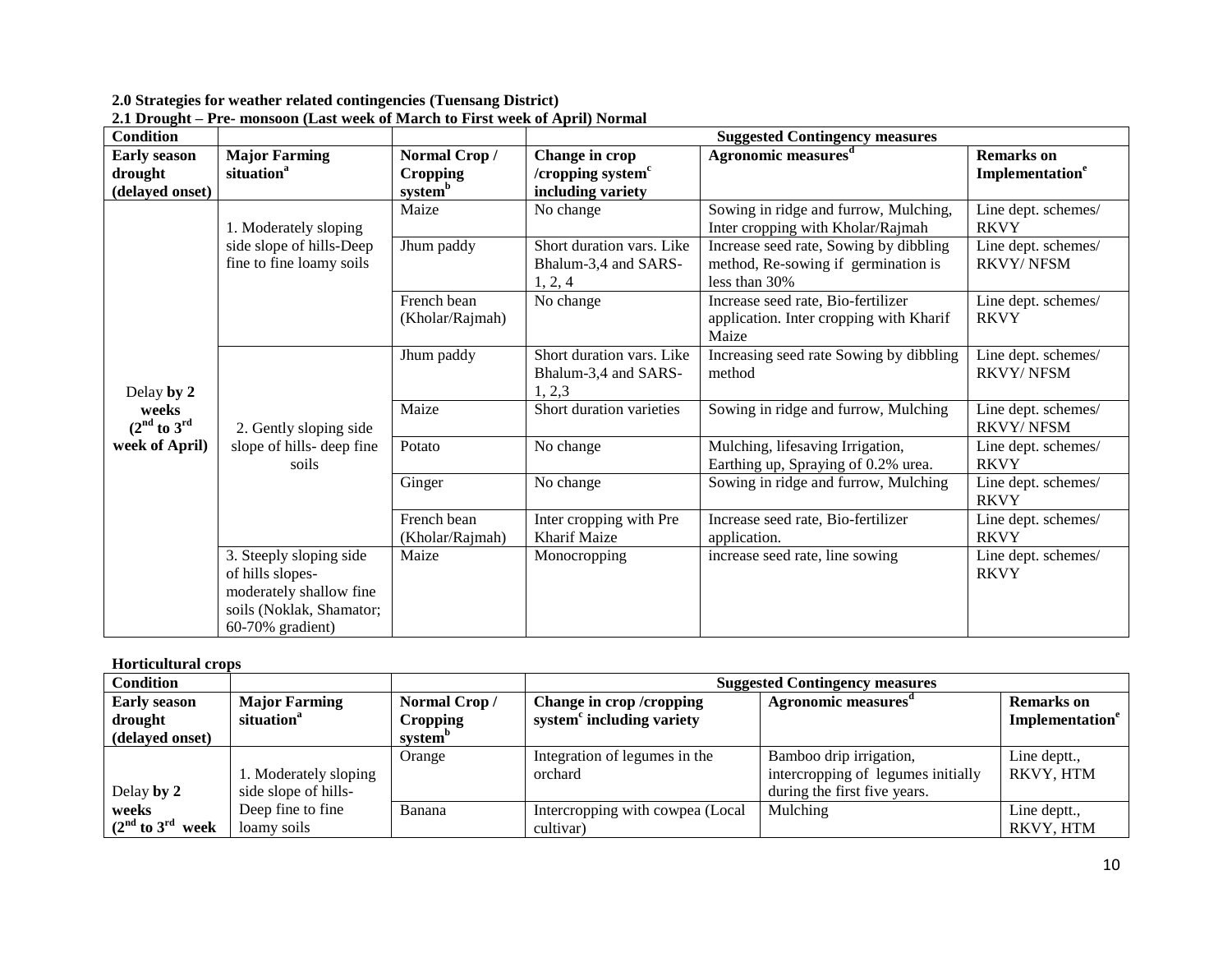**2.0 Strategies for weather related contingencies (Tuensang District)**

| <b>Condition</b>                                  |                                                                                                                           |                                            |                                                                      | <b>Suggested Contingency measures</b>                                                          |                                                  |
|---------------------------------------------------|---------------------------------------------------------------------------------------------------------------------------|--------------------------------------------|----------------------------------------------------------------------|------------------------------------------------------------------------------------------------|--------------------------------------------------|
| <b>Early season</b><br>drought<br>(delayed onset) | <b>Major Farming</b><br>situation <sup>a</sup>                                                                            | Normal Crop/<br><b>Cropping</b><br>systemb | Change in crop<br>/cropping system <sup>c</sup><br>including variety | Agronomic measures <sup>d</sup>                                                                | <b>Remarks</b> on<br>Implementation <sup>e</sup> |
|                                                   | 1. Moderately sloping                                                                                                     | Maize                                      | No change                                                            | Sowing in ridge and furrow, Mulching,<br>Inter cropping with Kholar/Rajmah                     | Line dept. schemes/<br><b>RKVY</b>               |
|                                                   | side slope of hills-Deep<br>fine to fine loamy soils                                                                      | Jhum paddy                                 | Short duration vars. Like<br>Bhalum-3,4 and SARS-<br>1, 2, 4         | Increase seed rate, Sowing by dibbling<br>method, Re-sowing if germination is<br>less than 30% | Line dept. schemes/<br><b>RKVY/NFSM</b>          |
|                                                   |                                                                                                                           | French bean<br>(Kholar/Rajmah)             | No change                                                            | Increase seed rate, Bio-fertilizer<br>application. Inter cropping with Kharif<br>Maize         | Line dept. schemes/<br><b>RKVY</b>               |
| Delay by 2                                        |                                                                                                                           | Jhum paddy                                 | Short duration vars. Like<br>Bhalum-3,4 and SARS-<br>1, 2, 3         | Increasing seed rate Sowing by dibbling<br>method                                              | Line dept. schemes/<br><b>RKVY/NFSM</b>          |
| weeks<br>$(2nd$ to $3rd$                          | 2. Gently sloping side                                                                                                    | Maize                                      | Short duration varieties                                             | Sowing in ridge and furrow, Mulching                                                           | Line dept. schemes/<br><b>RKVY/NFSM</b>          |
| week of April)                                    | slope of hills- deep fine<br>soils                                                                                        | Potato                                     | No change                                                            | Mulching, lifesaving Irrigation,<br>Earthing up, Spraying of 0.2% urea.                        | Line dept. schemes/<br><b>RKVY</b>               |
|                                                   |                                                                                                                           | Ginger                                     | No change                                                            | Sowing in ridge and furrow, Mulching                                                           | Line dept. schemes/<br><b>RKVY</b>               |
|                                                   |                                                                                                                           | French bean<br>(Kholar/Rajmah)             | Inter cropping with Pre<br>Kharif Maize                              | Increase seed rate, Bio-fertilizer<br>application.                                             | Line dept. schemes/<br><b>RKVY</b>               |
|                                                   | 3. Steeply sloping side<br>of hills slopes-<br>moderately shallow fine<br>soils (Noklak, Shamator;<br>$60-70\%$ gradient) | Maize                                      | Monocropping                                                         | increase seed rate, line sowing                                                                | Line dept. schemes/<br><b>RKVY</b>               |

**2.1 Drought – Pre- monsoon (Last week of March to First week of April) Normal**

| <b>Condition</b>     |                        |                     | <b>Suggested Contingency measures</b> |                                    |                             |  |
|----------------------|------------------------|---------------------|---------------------------------------|------------------------------------|-----------------------------|--|
| <b>Early season</b>  | <b>Major Farming</b>   | Normal Crop/        | Change in crop / cropping             | Agronomic measures                 | <b>Remarks</b> on           |  |
| drought              | situation <sup>a</sup> | <b>Cropping</b>     | system <sup>c</sup> including variety |                                    | Implementation <sup>e</sup> |  |
| (delayed onset)      |                        | system <sup>o</sup> |                                       |                                    |                             |  |
|                      |                        | Orange              | Integration of legumes in the         | Bamboo drip irrigation,            | Line deptt.,                |  |
|                      | 1. Moderately sloping  |                     | orchard                               | intercropping of legumes initially | RKVY, HTM                   |  |
| Delay by 2           | side slope of hills-   |                     |                                       | during the first five years.       |                             |  |
| weeks                | Deep fine to fine      | Banana              | Intercropping with cowpea (Local      | Mulching                           | Line deptt.,                |  |
| $(2nd$ to $3rd$ week | loamy soils            |                     | cultivar)                             |                                    | RKVY, HTM                   |  |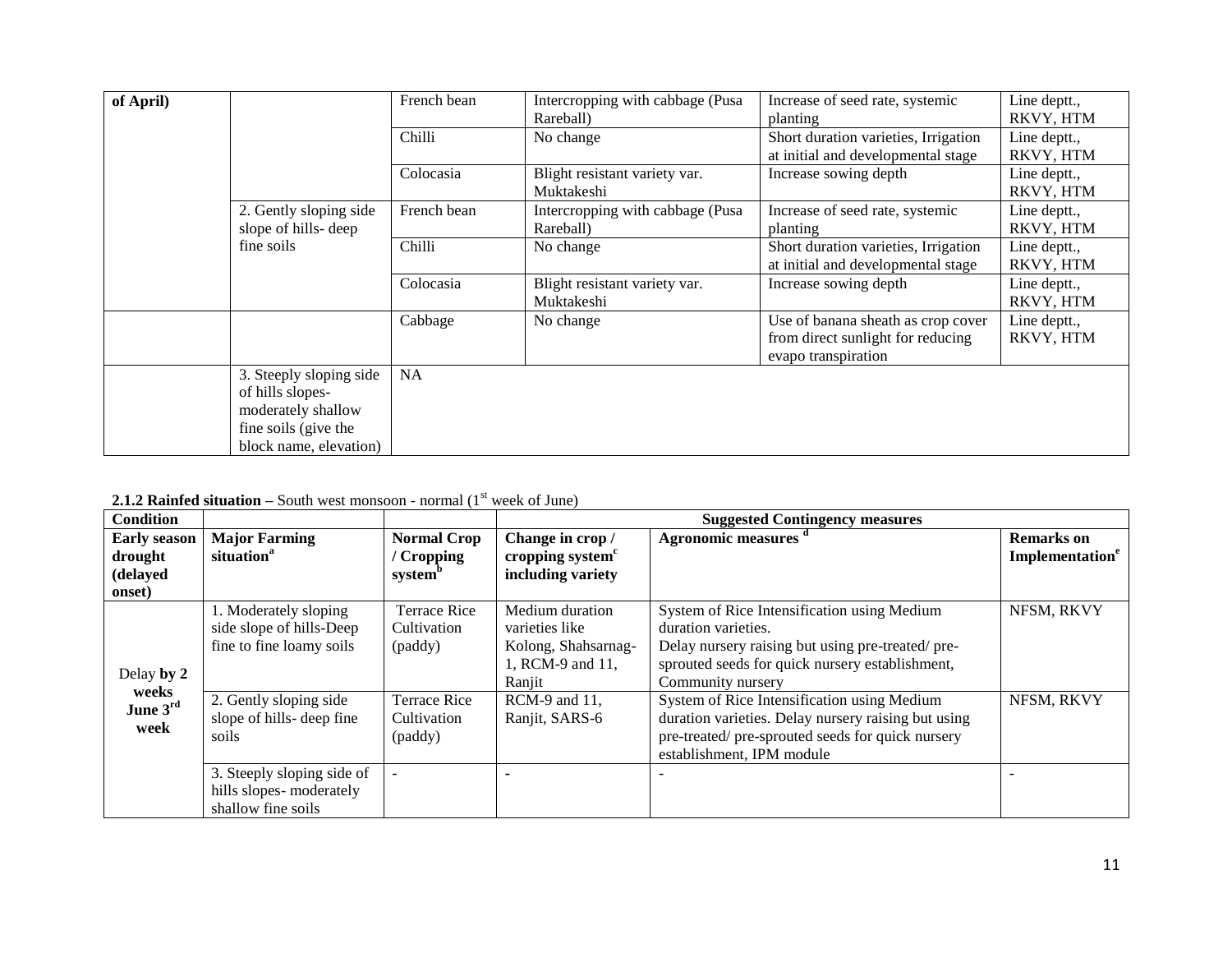| of April) |                                                                   | French bean | Intercropping with cabbage (Pusa<br>Rareball) | Increase of seed rate, systemic<br>planting                                                    | Line deptt.,<br>RKVY, HTM |
|-----------|-------------------------------------------------------------------|-------------|-----------------------------------------------|------------------------------------------------------------------------------------------------|---------------------------|
|           |                                                                   | Chilli      | No change                                     | Short duration varieties, Irrigation<br>at initial and developmental stage                     | Line deptt.,<br>RKVY, HTM |
|           |                                                                   | Colocasia   | Blight resistant variety var.<br>Muktakeshi   | Increase sowing depth                                                                          | Line deptt.,<br>RKVY, HTM |
|           | 2. Gently sloping side<br>slope of hills-deep                     | French bean | Intercropping with cabbage (Pusa<br>Rareball) | Increase of seed rate, systemic<br>planting                                                    | Line deptt.,<br>RKVY, HTM |
|           | fine soils                                                        | Chilli      | No change                                     | Short duration varieties, Irrigation<br>at initial and developmental stage                     | Line deptt.,<br>RKVY, HTM |
|           |                                                                   | Colocasia   | Blight resistant variety var.<br>Muktakeshi   | Increase sowing depth                                                                          | Line deptt.,<br>RKVY, HTM |
|           |                                                                   | Cabbage     | No change                                     | Use of banana sheath as crop cover<br>from direct sunlight for reducing<br>evapo transpiration | Line deptt.,<br>RKVY, HTM |
|           | 3. Steeply sloping side<br>of hills slopes-<br>moderately shallow | <b>NA</b>   |                                               |                                                                                                |                           |
|           | fine soils (give the<br>block name, elevation)                    |             |                                               |                                                                                                |                           |

**2.1.2 Rainfed situation** – South west monsoon - normal  $(1<sup>st</sup>$  week of June)

| <b>Condition</b>                          |                                                                              |                                        | <b>Suggested Contingency measures</b>             |                                                                                                                                                                                     |                             |  |
|-------------------------------------------|------------------------------------------------------------------------------|----------------------------------------|---------------------------------------------------|-------------------------------------------------------------------------------------------------------------------------------------------------------------------------------------|-----------------------------|--|
| <b>Early season</b>                       | <b>Major Farming</b>                                                         | <b>Normal Crop</b>                     | Change in crop /                                  | Agronomic measures d                                                                                                                                                                | <b>Remarks</b> on           |  |
| drought                                   | situation <sup>a</sup>                                                       | ' Cropping                             | cropping system <sup>c</sup>                      |                                                                                                                                                                                     | Implementation <sup>e</sup> |  |
| (delayed                                  |                                                                              | system <sup>b</sup>                    | including variety                                 |                                                                                                                                                                                     |                             |  |
| onset)                                    |                                                                              |                                        |                                                   |                                                                                                                                                                                     |                             |  |
|                                           | 1. Moderately sloping<br>side slope of hills-Deep                            | <b>Terrace Rice</b><br>Cultivation     | Medium duration<br>varieties like                 | System of Rice Intensification using Medium<br>duration varieties.                                                                                                                  | NFSM, RKVY                  |  |
| Delay by 2<br>weeks<br>June $3rd$<br>week | fine to fine loamy soils                                                     | (paddy)                                | Kolong, Shahsarnag-<br>1, RCM-9 and 11,<br>Ranjit | Delay nursery raising but using pre-treated/pre-<br>sprouted seeds for quick nursery establishment,<br>Community nursery                                                            |                             |  |
|                                           | 2. Gently sloping side<br>slope of hills- deep fine<br>soils                 | Terrace Rice<br>Cultivation<br>(paddy) | $RCM-9$ and 11,<br>Ranjit, SARS-6                 | System of Rice Intensification using Medium<br>duration varieties. Delay nursery raising but using<br>pre-treated/pre-sprouted seeds for quick nursery<br>establishment, IPM module | NFSM, RKVY                  |  |
|                                           | 3. Steeply sloping side of<br>hills slopes- moderately<br>shallow fine soils | ÷.                                     |                                                   |                                                                                                                                                                                     |                             |  |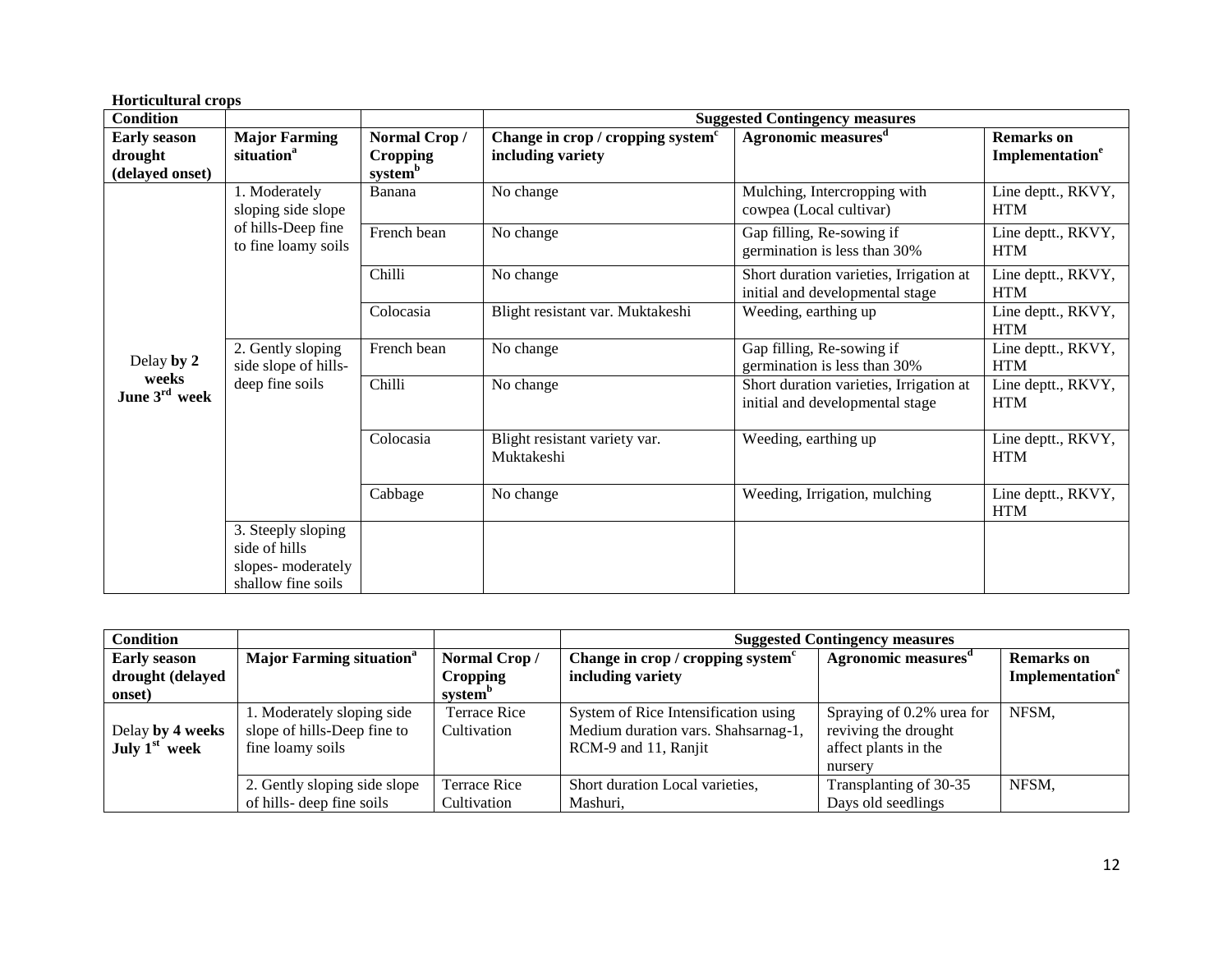| <b>Horticultural crops</b>                        |                                                          |                                                        |                                                                    |                                                                            |                                                  |
|---------------------------------------------------|----------------------------------------------------------|--------------------------------------------------------|--------------------------------------------------------------------|----------------------------------------------------------------------------|--------------------------------------------------|
| <b>Condition</b>                                  |                                                          |                                                        |                                                                    | <b>Suggested Contingency measures</b>                                      |                                                  |
| <b>Early season</b><br>drought<br>(delayed onset) | <b>Major Farming</b><br>situation <sup>a</sup>           | Normal Crop/<br><b>Cropping</b><br>system <sup>b</sup> | Change in crop / cropping system <sup>c</sup><br>including variety | Agronomic measures <sup>d</sup>                                            | <b>Remarks</b> on<br>Implementation <sup>e</sup> |
|                                                   | 1. Moderately<br>sloping side slope                      | Banana                                                 | No change                                                          | Mulching, Intercropping with<br>cowpea (Local cultivar)                    | Line deptt., RKVY,<br><b>HTM</b>                 |
|                                                   | of hills-Deep fine<br>to fine loamy soils                | French bean                                            | No change                                                          | Gap filling, Re-sowing if<br>germination is less than 30%                  | Line deptt., RKVY,<br><b>HTM</b>                 |
|                                                   |                                                          | Chilli                                                 | No change                                                          | Short duration varieties, Irrigation at<br>initial and developmental stage | Line deptt., RKVY,<br><b>HTM</b>                 |
|                                                   |                                                          | Colocasia                                              | Blight resistant var. Muktakeshi                                   | Weeding, earthing up                                                       | Line deptt., RKVY,<br><b>HTM</b>                 |
| Delay by 2                                        | 2. Gently sloping<br>side slope of hills-                | French bean                                            | No change                                                          | Gap filling, Re-sowing if<br>germination is less than 30%                  | Line deptt., RKVY,<br><b>HTM</b>                 |
| weeks<br>June 3rd week                            | deep fine soils                                          | Chilli                                                 | No change                                                          | Short duration varieties, Irrigation at<br>initial and developmental stage | Line deptt., RKVY,<br><b>HTM</b>                 |
|                                                   |                                                          | Colocasia                                              | Blight resistant variety var.<br>Muktakeshi                        | Weeding, earthing up                                                       | Line deptt., RKVY,<br><b>HTM</b>                 |
|                                                   |                                                          | Cabbage                                                | No change                                                          | Weeding, Irrigation, mulching                                              | Line deptt., RKVY,<br><b>HTM</b>                 |
|                                                   | 3. Steeply sloping<br>side of hills<br>slopes-moderately |                                                        |                                                                    |                                                                            |                                                  |
|                                                   | shallow fine soils                                       |                                                        |                                                                    |                                                                            |                                                  |

| <b>Condition</b>    |                                                           |                                    |                                                                             | <b>Suggested Contingency measures</b>             |                             |  |  |
|---------------------|-----------------------------------------------------------|------------------------------------|-----------------------------------------------------------------------------|---------------------------------------------------|-----------------------------|--|--|
| <b>Early season</b> | <b>Major Farming situation</b> <sup>a</sup>               | Normal Crop/                       | Change in crop / cropping system $c$                                        | Agronomic measures                                | <b>Remarks</b> on           |  |  |
| drought (delayed    |                                                           | <b>Cropping</b>                    | including variety                                                           |                                                   | Implementation <sup>e</sup> |  |  |
| onset)              |                                                           | system <sup>"</sup>                |                                                                             |                                                   |                             |  |  |
| Delay by 4 weeks    | 1. Moderately sloping side<br>slope of hills-Deep fine to | <b>Terrace Rice</b><br>Cultivation | System of Rice Intensification using<br>Medium duration vars. Shahsarnag-1, | Spraying of 0.2% urea for<br>reviving the drought | NFSM,                       |  |  |
|                     |                                                           |                                    |                                                                             |                                                   |                             |  |  |
| July $1st$ week     | fine loamy soils                                          |                                    | RCM-9 and 11, Ranjit                                                        | affect plants in the                              |                             |  |  |
|                     |                                                           |                                    |                                                                             | nursery                                           |                             |  |  |
|                     | 2. Gently sloping side slope                              | <b>Terrace Rice</b>                | Short duration Local varieties,                                             | Transplanting of 30-35                            | NFSM,                       |  |  |
|                     | of hills- deep fine soils                                 | Cultivation                        | Mashuri,                                                                    | Days old seedlings                                |                             |  |  |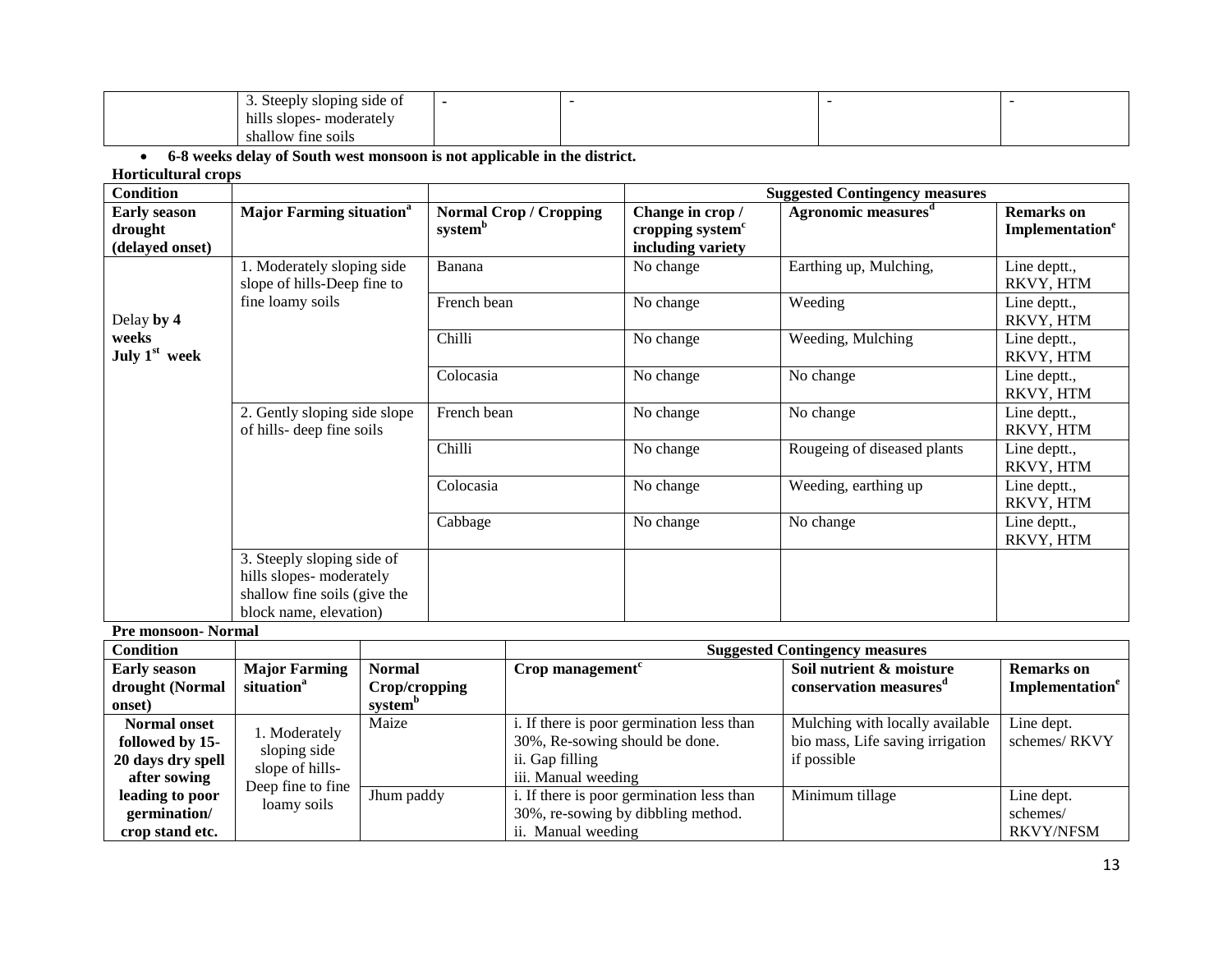| sloping side of                                          |  |  |
|----------------------------------------------------------|--|--|
| $\cdots$<br>hills<br>mod<br>eratel<br>slope <sup>.</sup> |  |  |
| shallow<br>11ne<br>SO <sub>1</sub> IS                    |  |  |

**6-8 weeks delay of South west monsoon is not applicable in the district.**

**Horticultural crops**

| <b>Condition</b>                                  |                                                           |                                                      |                                                                       | <b>Suggested Contingency measures</b> |                                                         |
|---------------------------------------------------|-----------------------------------------------------------|------------------------------------------------------|-----------------------------------------------------------------------|---------------------------------------|---------------------------------------------------------|
| <b>Early season</b><br>drought<br>(delayed onset) | <b>Major Farming situation</b> <sup>a</sup>               | <b>Normal Crop / Cropping</b><br>system <sup>b</sup> | Change in crop /<br>cropping system <sup>c</sup><br>including variety | Agronomic measures <sup>d</sup>       | <b>Remarks</b> on<br><b>Implementation</b> <sup>e</sup> |
|                                                   | 1. Moderately sloping side<br>slope of hills-Deep fine to | Banana                                               | No change                                                             | Earthing up, Mulching,                | Line deptt.,<br>RKVY, HTM                               |
| Delay by 4                                        | fine loamy soils                                          | French bean                                          | No change                                                             | Weeding                               | Line deptt.,<br>RKVY, HTM                               |
| weeks<br>July $1st$ week                          |                                                           | Chilli                                               | No change                                                             | Weeding, Mulching                     | Line deptt.,<br>RKVY, HTM                               |
|                                                   |                                                           | Colocasia                                            | No change                                                             | No change                             | Line deptt.,<br>RKVY, HTM                               |
|                                                   | 2. Gently sloping side slope<br>of hills- deep fine soils | French bean                                          | No change                                                             | No change                             | Line deptt.,<br>RKVY, HTM                               |
|                                                   |                                                           | Chilli                                               | No change                                                             | Rougeing of diseased plants           | Line deptt.,<br>RKVY, HTM                               |
|                                                   |                                                           | Colocasia                                            | No change                                                             | Weeding, earthing up                  | Line deptt.,<br>RKVY, HTM                               |
|                                                   |                                                           | Cabbage                                              | No change                                                             | No change                             | Line deptt.,<br>RKVY, HTM                               |
|                                                   | 3. Steeply sloping side of                                |                                                      |                                                                       |                                       |                                                         |
|                                                   | hills slopes- moderately                                  |                                                      |                                                                       |                                       |                                                         |
|                                                   | shallow fine soils (give the                              |                                                      |                                                                       |                                       |                                                         |
|                                                   | block name, elevation)                                    |                                                      |                                                                       |                                       |                                                         |

**Pre monsoon- Normal**

| <b>Condition</b>                                                            |                                                  |                                                       | <b>Suggested Contingency measures</b>                                                                                 |                                                                                    |                                                         |  |
|-----------------------------------------------------------------------------|--------------------------------------------------|-------------------------------------------------------|-----------------------------------------------------------------------------------------------------------------------|------------------------------------------------------------------------------------|---------------------------------------------------------|--|
| <b>Early season</b><br>drought (Normal<br>onset)                            | <b>Major Farming</b><br>situation <sup>a</sup>   | <b>Normal</b><br>Crop/cropping<br>system <sup>b</sup> | Crop management $c$                                                                                                   | Soil nutrient & moisture<br>conservation measures <sup>a</sup>                     | <b>Remarks</b> on<br><b>Implementation</b> <sup>e</sup> |  |
| <b>Normal onset</b><br>followed by 15-<br>20 days dry spell<br>after sowing | 1. Moderately<br>sloping side<br>slope of hills- | Maize                                                 | i. If there is poor germination less than<br>30%, Re-sowing should be done.<br>ii. Gap filling<br>iii. Manual weeding | Mulching with locally available<br>bio mass, Life saving irrigation<br>if possible | Line dept.<br>schemes/RKVY                              |  |
| leading to poor<br>germination/<br>crop stand etc.                          | Deep fine to fine<br>loamy soils                 | Jhum paddy                                            | i. If there is poor germination less than<br>30%, re-sowing by dibbling method.<br>ii. Manual weeding                 | Minimum tillage                                                                    | Line dept.<br>schemes/<br><b>RKVY/NFSM</b>              |  |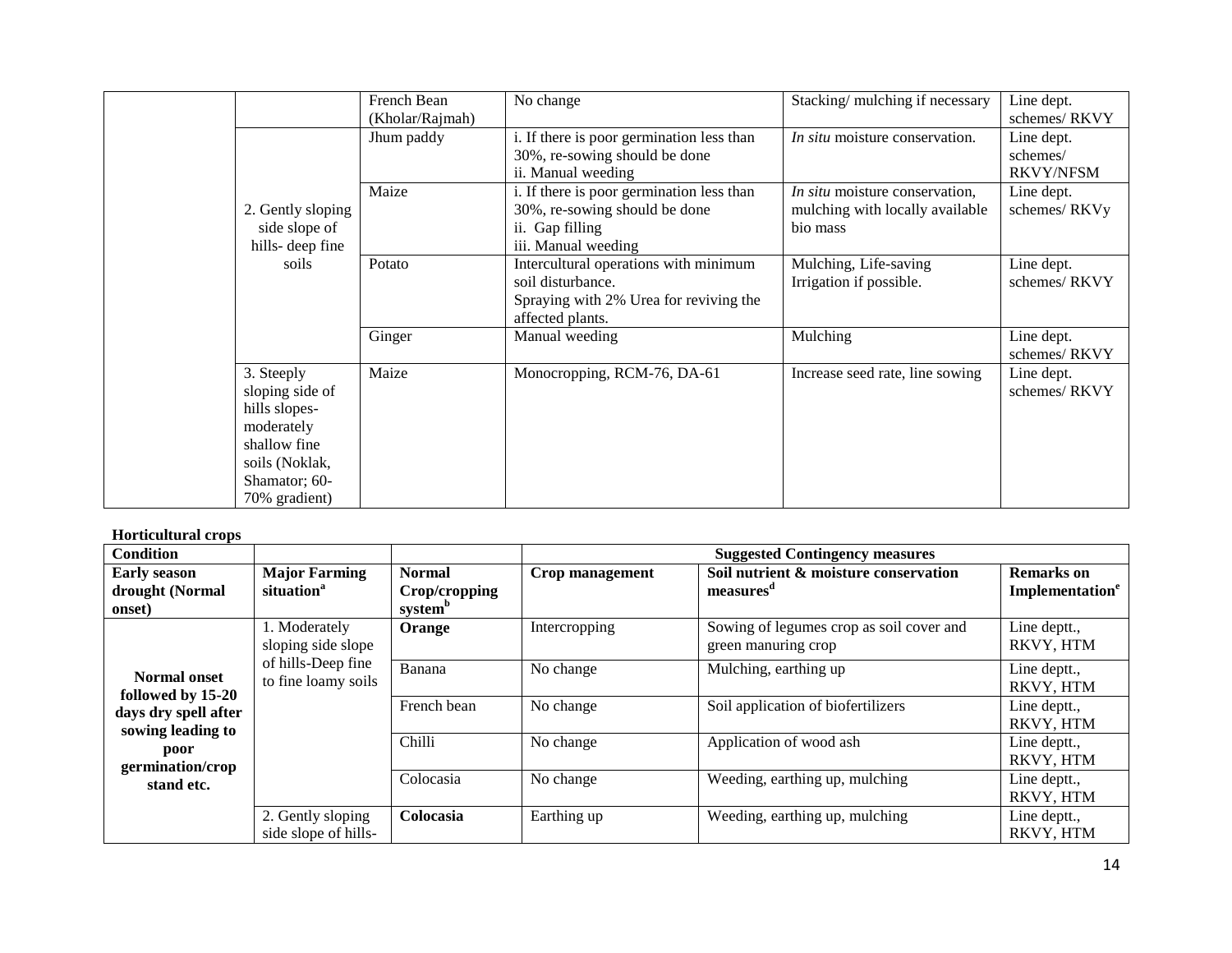|                   | French Bean     | No change                                 | Stacking/mulching if necessary        | Line dept.       |
|-------------------|-----------------|-------------------------------------------|---------------------------------------|------------------|
|                   | (Kholar/Rajmah) |                                           |                                       | schemes/RKVY     |
|                   | Jhum paddy      | i. If there is poor germination less than | In situ moisture conservation.        | Line dept.       |
|                   |                 | 30%, re-sowing should be done             |                                       | schemes/         |
|                   |                 | ii. Manual weeding                        |                                       | <b>RKVY/NFSM</b> |
|                   | Maize           | i. If there is poor germination less than | <i>In situ</i> moisture conservation, | Line dept.       |
| 2. Gently sloping |                 | 30%, re-sowing should be done             | mulching with locally available       | schemes/RKVy     |
| side slope of     |                 | ii. Gap filling                           | bio mass                              |                  |
| hills-deep fine   |                 | iii. Manual weeding                       |                                       |                  |
| soils             | Potato          | Intercultural operations with minimum     | Mulching, Life-saving                 | Line dept.       |
|                   |                 | soil disturbance.                         | Irrigation if possible.               | schemes/RKVY     |
|                   |                 | Spraying with 2% Urea for reviving the    |                                       |                  |
|                   |                 | affected plants.                          |                                       |                  |
|                   | Ginger          | Manual weeding                            | Mulching                              | Line dept.       |
|                   |                 |                                           |                                       | schemes/RKVY     |
| 3. Steeply        | Maize           | Monocropping, RCM-76, DA-61               | Increase seed rate, line sowing       | Line dept.       |
| sloping side of   |                 |                                           |                                       | schemes/RKVY     |
| hills slopes-     |                 |                                           |                                       |                  |
| moderately        |                 |                                           |                                       |                  |
| shallow fine      |                 |                                           |                                       |                  |
| soils (Noklak,    |                 |                                           |                                       |                  |
| Shamator; 60-     |                 |                                           |                                       |                  |
| 70% gradient)     |                 |                                           |                                       |                  |

| <b>Condition</b>                                                                      |                                                |                                                       | <b>Suggested Contingency measures</b> |                                                                 |                                                  |  |
|---------------------------------------------------------------------------------------|------------------------------------------------|-------------------------------------------------------|---------------------------------------|-----------------------------------------------------------------|--------------------------------------------------|--|
| <b>Early season</b><br>drought (Normal<br>onset)                                      | <b>Major Farming</b><br>situation <sup>a</sup> | <b>Normal</b><br>Crop/cropping<br>system <sup>b</sup> | Crop management                       | Soil nutrient & moisture conservation<br>measures <sup>a</sup>  | <b>Remarks</b> on<br>Implementation <sup>e</sup> |  |
| <b>Normal onset</b><br>followed by 15-20<br>days dry spell after<br>sowing leading to | 1. Moderately<br>sloping side slope            | Orange                                                | Intercropping                         | Sowing of legumes crop as soil cover and<br>green manuring crop | Line deptt.,<br>RKVY, HTM                        |  |
|                                                                                       | of hills-Deep fine<br>to fine loamy soils      | Banana                                                | No change                             | Mulching, earthing up                                           | Line deptt.,<br>RKVY, HTM                        |  |
|                                                                                       |                                                | French bean                                           | No change                             | Soil application of biofertilizers                              | Line deptt.,<br>RKVY, HTM                        |  |
| poor<br>germination/crop                                                              |                                                | Chilli                                                | No change                             | Application of wood ash                                         | Line deptt.,<br>RKVY, HTM                        |  |
| stand etc.                                                                            |                                                | Colocasia                                             | No change                             | Weeding, earthing up, mulching                                  | Line deptt.,<br>RKVY, HTM                        |  |
|                                                                                       | 2. Gently sloping<br>side slope of hills-      | Colocasia                                             | Earthing up                           | Weeding, earthing up, mulching                                  | Line deptt.,<br>RKVY, HTM                        |  |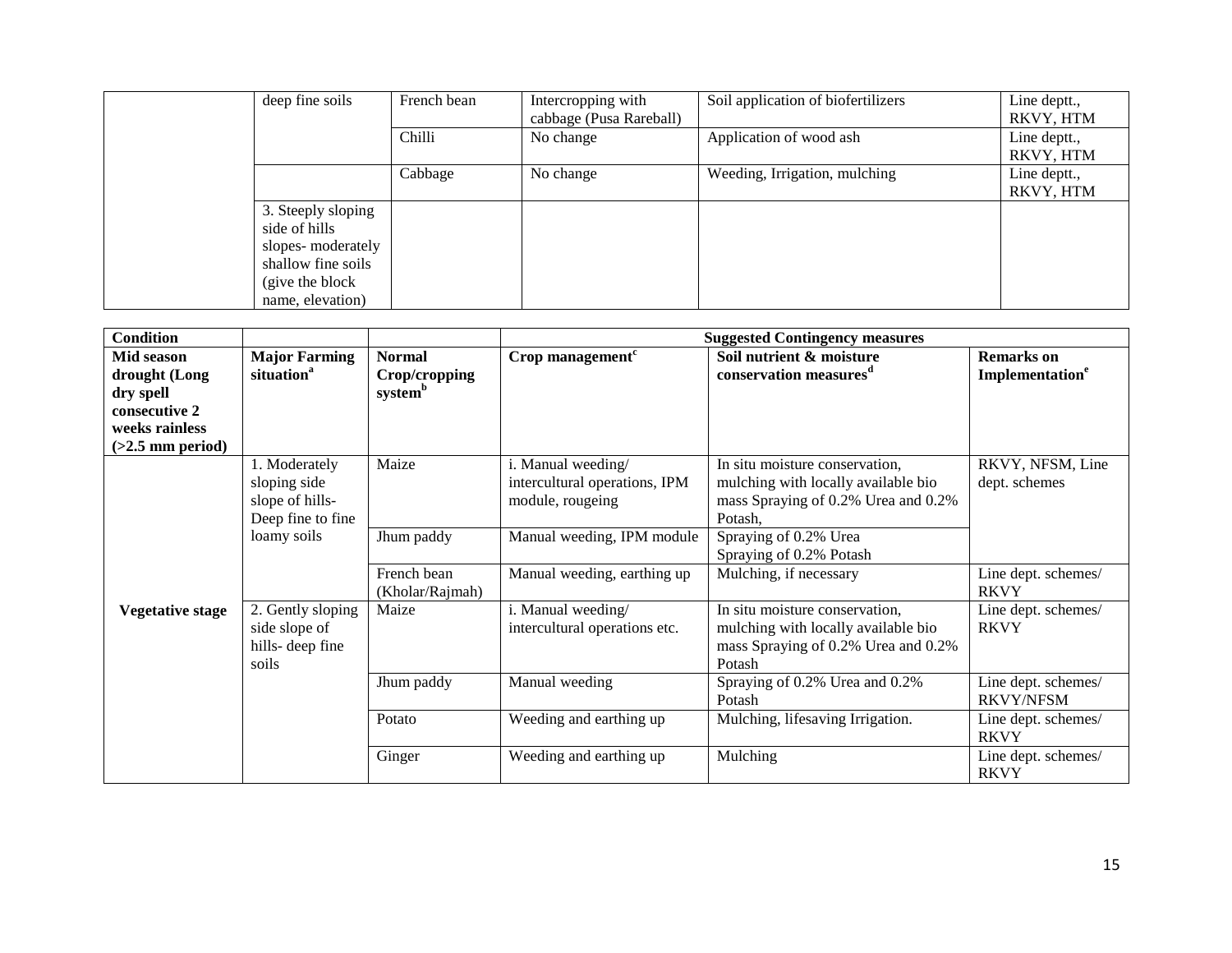| deep fine soils    | French bean | Intercropping with      | Soil application of biofertilizers | Line deptt., |
|--------------------|-------------|-------------------------|------------------------------------|--------------|
|                    |             | cabbage (Pusa Rareball) |                                    | RKVY, HTM    |
|                    | Chilli      | No change               | Application of wood ash            | Line deptt., |
|                    |             |                         |                                    | RKVY, HTM    |
|                    | Cabbage     | No change               | Weeding, Irrigation, mulching      | Line deptt., |
|                    |             |                         |                                    | RKVY, HTM    |
| 3. Steeply sloping |             |                         |                                    |              |
| side of hills      |             |                         |                                    |              |
| slopes-moderately  |             |                         |                                    |              |
| shallow fine soils |             |                         |                                    |              |
| (give the block)   |             |                         |                                    |              |
| name, elevation)   |             |                         |                                    |              |

| <b>Condition</b>                                                                                  |                                                                                      |                                                       |                                                                                                       | <b>Suggested Contingency measures</b>                                                                                                                                       |                                                  |
|---------------------------------------------------------------------------------------------------|--------------------------------------------------------------------------------------|-------------------------------------------------------|-------------------------------------------------------------------------------------------------------|-----------------------------------------------------------------------------------------------------------------------------------------------------------------------------|--------------------------------------------------|
| Mid season<br>drought (Long<br>dry spell<br>consecutive 2<br>weeks rainless<br>$(>2.5$ mm period) | <b>Major Farming</b><br>situation <sup>a</sup>                                       | <b>Normal</b><br>Crop/cropping<br>system <sup>b</sup> | Crop management <sup>c</sup>                                                                          | Soil nutrient & moisture<br>conservation measures <sup>d</sup>                                                                                                              | <b>Remarks</b> on<br>Implementation <sup>e</sup> |
|                                                                                                   | 1. Moderately<br>sloping side<br>slope of hills-<br>Deep fine to fine<br>loamy soils | Maize<br>Jhum paddy                                   | i. Manual weeding/<br>intercultural operations, IPM<br>module, rougeing<br>Manual weeding, IPM module | In situ moisture conservation,<br>mulching with locally available bio<br>mass Spraying of 0.2% Urea and 0.2%<br>Potash,<br>Spraying of 0.2% Urea<br>Spraying of 0.2% Potash | RKVY, NFSM, Line<br>dept. schemes                |
|                                                                                                   |                                                                                      | French bean<br>(Kholar/Rajmah)                        | Manual weeding, earthing up                                                                           | Mulching, if necessary                                                                                                                                                      | Line dept. schemes/<br><b>RKVY</b>               |
| <b>Vegetative stage</b>                                                                           | 2. Gently sloping<br>side slope of<br>hills-deep fine<br>soils                       | Maize                                                 | i. Manual weeding/<br>intercultural operations etc.                                                   | In situ moisture conservation,<br>mulching with locally available bio<br>mass Spraying of 0.2% Urea and 0.2%<br>Potash                                                      | Line dept. schemes/<br><b>RKVY</b>               |
|                                                                                                   |                                                                                      | Jhum paddy                                            | Manual weeding                                                                                        | Spraying of 0.2% Urea and 0.2%<br>Potash                                                                                                                                    | Line dept. schemes/<br><b>RKVY/NFSM</b>          |
|                                                                                                   |                                                                                      | Potato                                                | Weeding and earthing up                                                                               | Mulching, lifesaving Irrigation.                                                                                                                                            | Line dept. schemes/<br><b>RKVY</b>               |
|                                                                                                   |                                                                                      | Ginger                                                | Weeding and earthing up                                                                               | Mulching                                                                                                                                                                    | Line dept. schemes/<br><b>RKVY</b>               |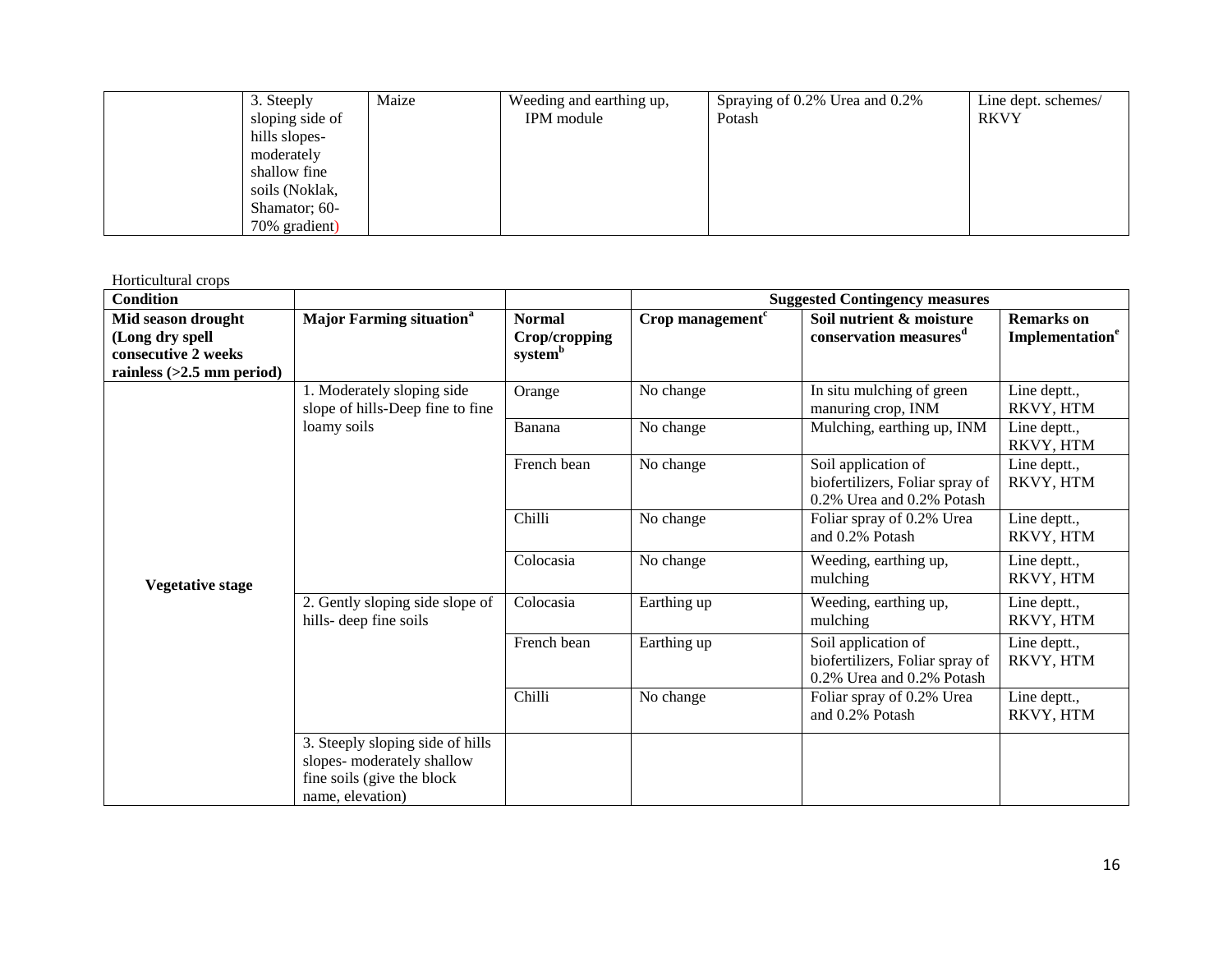| 3. Steeply      | Maize | Weeding and earthing up, | Spraying of 0.2% Urea and 0.2% | Line dept. schemes/ |
|-----------------|-------|--------------------------|--------------------------------|---------------------|
| sloping side of |       | IPM module               | Potash                         | <b>RKVY</b>         |
| hills slopes-   |       |                          |                                |                     |
| moderately      |       |                          |                                |                     |
| shallow fine    |       |                          |                                |                     |
| soils (Noklak,  |       |                          |                                |                     |
| Shamator; 60-   |       |                          |                                |                     |
| 70% gradient)   |       |                          |                                |                     |

| <b>Condition</b>                                             |                                                                                                                  |                                                       | <b>Suggested Contingency measures</b> |                                                                                     |                                                  |  |
|--------------------------------------------------------------|------------------------------------------------------------------------------------------------------------------|-------------------------------------------------------|---------------------------------------|-------------------------------------------------------------------------------------|--------------------------------------------------|--|
| Mid season drought<br>(Long dry spell<br>consecutive 2 weeks | <b>Major Farming situation</b> <sup>a</sup>                                                                      | <b>Normal</b><br>Crop/cropping<br>system <sup>b</sup> | Crop management <sup>c</sup>          | Soil nutrient & moisture<br>conservation measures <sup>d</sup>                      | <b>Remarks</b> on<br>Implementation <sup>e</sup> |  |
| rainless $(>2.5$ mm period)                                  | 1. Moderately sloping side<br>slope of hills-Deep fine to fine                                                   | Orange                                                | No change                             | In situ mulching of green<br>manuring crop, INM                                     | Line deptt.,<br>RKVY, HTM                        |  |
|                                                              | loamy soils                                                                                                      | Banana                                                | No change                             | Mulching, earthing up, INM                                                          | Line deptt.,<br>RKVY, HTM                        |  |
|                                                              |                                                                                                                  | French bean                                           | No change                             | Soil application of<br>biofertilizers, Foliar spray of<br>0.2% Urea and 0.2% Potash | Line deptt.,<br>RKVY, HTM                        |  |
|                                                              |                                                                                                                  | Chilli                                                | No change                             | Foliar spray of 0.2% Urea<br>and 0.2% Potash                                        | Line deptt.,<br>RKVY, HTM                        |  |
| <b>Vegetative stage</b>                                      |                                                                                                                  | Colocasia                                             | No change                             | Weeding, earthing up,<br>mulching                                                   | Line deptt.,<br>RKVY, HTM                        |  |
|                                                              | 2. Gently sloping side slope of<br>hills- deep fine soils                                                        | Colocasia                                             | Earthing up                           | Weeding, earthing up,<br>mulching                                                   | Line deptt.,<br>RKVY, HTM                        |  |
|                                                              |                                                                                                                  | French bean                                           | Earthing up                           | Soil application of<br>biofertilizers, Foliar spray of<br>0.2% Urea and 0.2% Potash | Line deptt.,<br>RKVY, HTM                        |  |
|                                                              |                                                                                                                  | Chilli                                                | No change                             | Foliar spray of 0.2% Urea<br>and 0.2% Potash                                        | Line deptt.,<br>RKVY, HTM                        |  |
|                                                              | 3. Steeply sloping side of hills<br>slopes- moderately shallow<br>fine soils (give the block<br>name, elevation) |                                                       |                                       |                                                                                     |                                                  |  |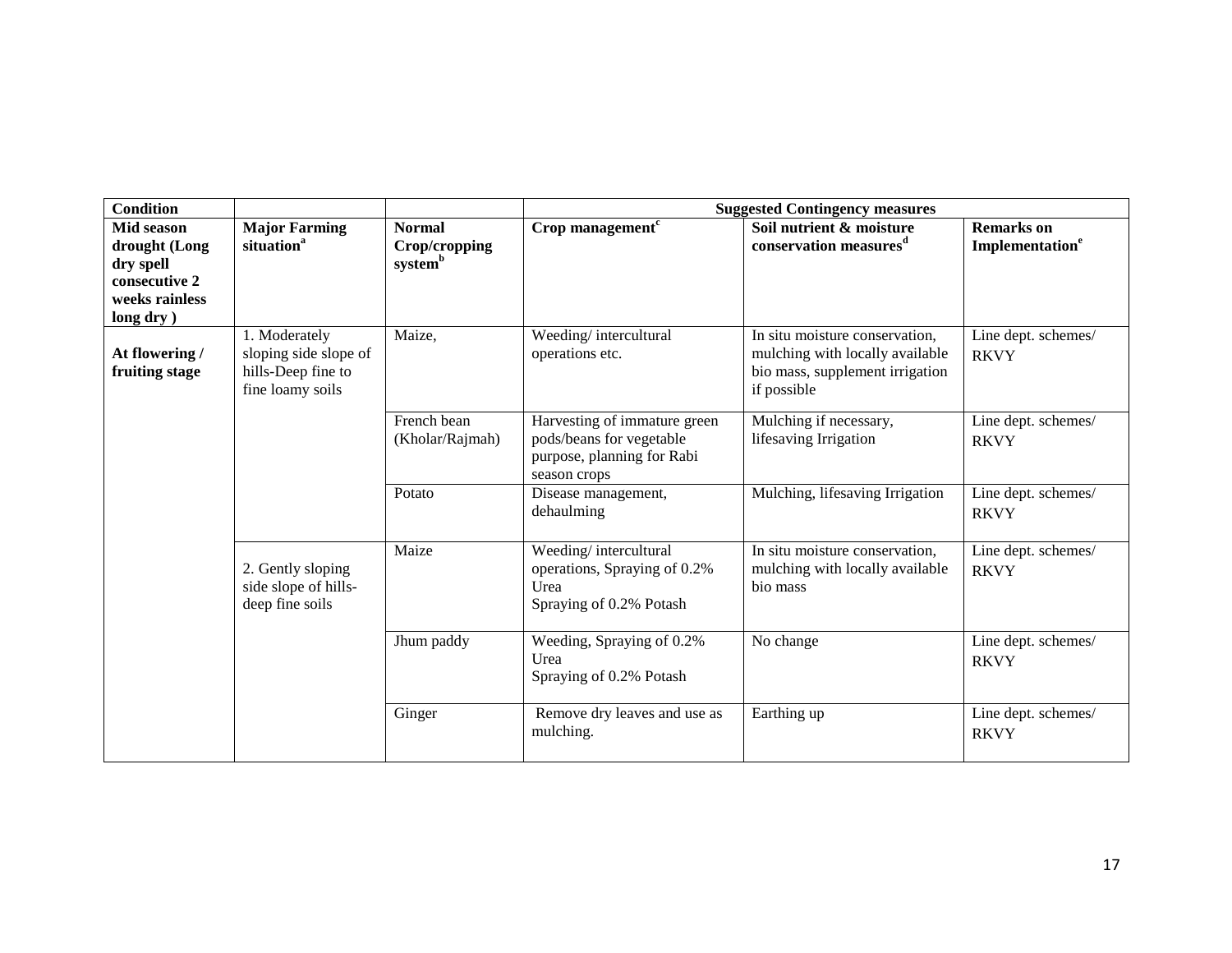| <b>Condition</b>                                                                          |                                                                                  |                                           |                                                                                                        | <b>Suggested Contingency measures</b>                                                                               |                                                  |
|-------------------------------------------------------------------------------------------|----------------------------------------------------------------------------------|-------------------------------------------|--------------------------------------------------------------------------------------------------------|---------------------------------------------------------------------------------------------------------------------|--------------------------------------------------|
| Mid season<br>drought (Long<br>dry spell<br>consecutive 2<br>weeks rainless<br>long dry ) | <b>Major Farming</b><br>situation <sup>a</sup>                                   | <b>Normal</b><br>Crop/cropping<br>systemb | $Crop$ management <sup><math>c</math></sup>                                                            | Soil nutrient & moisture<br>conservation measures <sup>d</sup>                                                      | <b>Remarks</b> on<br>Implementation <sup>e</sup> |
| At flowering /<br>fruiting stage                                                          | 1. Moderately<br>sloping side slope of<br>hills-Deep fine to<br>fine loamy soils | Maize,                                    | Weeding/intercultural<br>operations etc.                                                               | In situ moisture conservation,<br>mulching with locally available<br>bio mass, supplement irrigation<br>if possible | Line dept. schemes/<br><b>RKVY</b>               |
|                                                                                           |                                                                                  | French bean<br>(Kholar/Rajmah)            | Harvesting of immature green<br>pods/beans for vegetable<br>purpose, planning for Rabi<br>season crops | Mulching if necessary,<br>lifesaving Irrigation                                                                     | Line dept. schemes/<br><b>RKVY</b>               |
|                                                                                           |                                                                                  | Potato                                    | Disease management,<br>dehaulming                                                                      | Mulching, lifesaving Irrigation                                                                                     | Line dept. schemes/<br><b>RKVY</b>               |
|                                                                                           | 2. Gently sloping<br>side slope of hills-<br>deep fine soils                     | Maize                                     | Weeding/intercultural<br>operations, Spraying of 0.2%<br>Urea<br>Spraying of 0.2% Potash               | In situ moisture conservation,<br>mulching with locally available<br>bio mass                                       | Line dept. schemes/<br><b>RKVY</b>               |
|                                                                                           |                                                                                  | Jhum paddy                                | Weeding, Spraying of 0.2%<br>Urea<br>Spraying of 0.2% Potash                                           | No change                                                                                                           | Line dept. schemes/<br><b>RKVY</b>               |
|                                                                                           |                                                                                  | Ginger                                    | Remove dry leaves and use as<br>mulching.                                                              | Earthing up                                                                                                         | Line dept. schemes/<br><b>RKVY</b>               |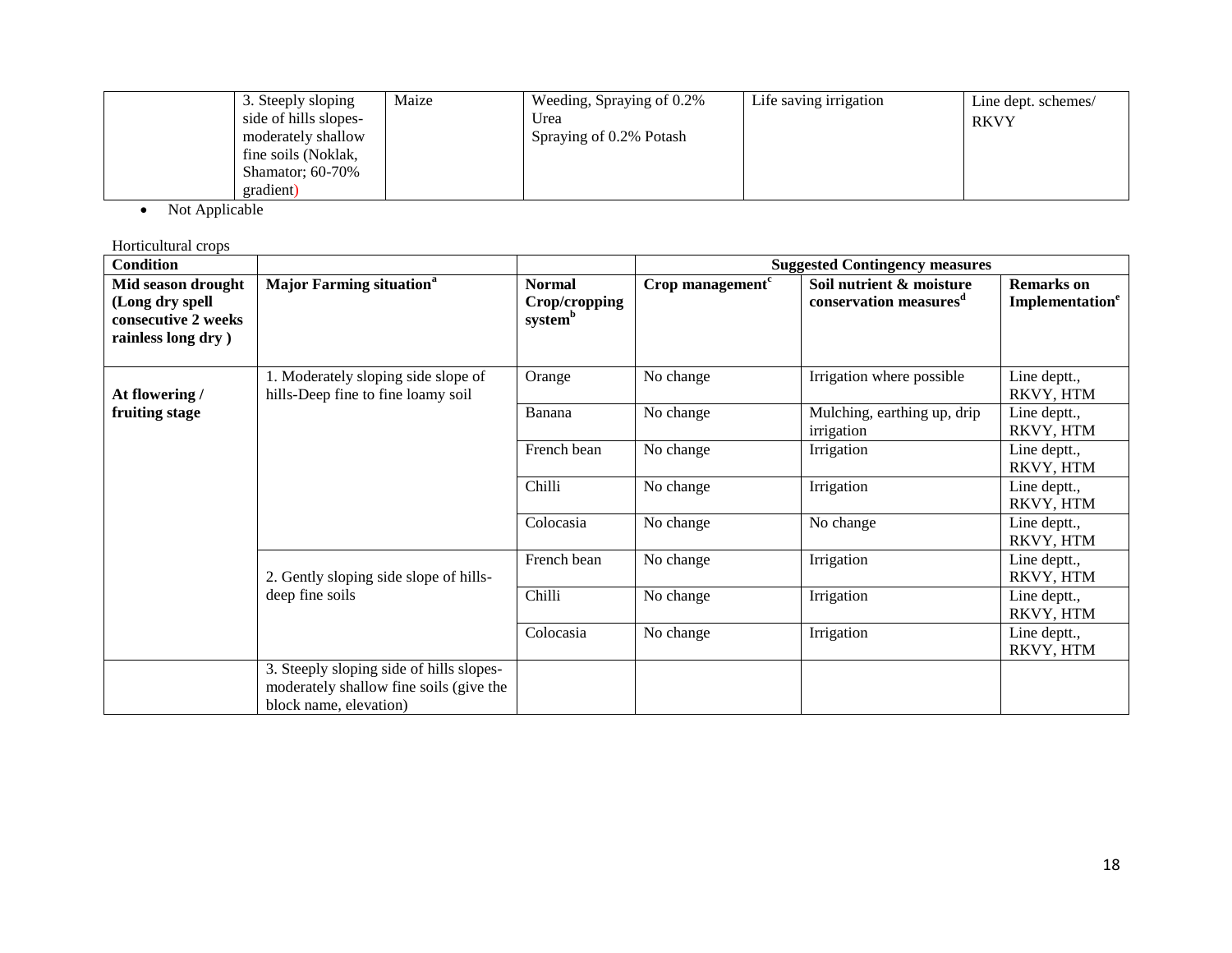| 3. Steeply sloping       | Maize | Weeding, Spraying of 0.2% | Life saving irrigation | Line dept. schemes/ |
|--------------------------|-------|---------------------------|------------------------|---------------------|
| side of hills slopes-    |       | Urea                      |                        | <b>RKVY</b>         |
| moderately shallow       |       | Spraying of 0.2% Potash   |                        |                     |
| fine soils (Noklak,      |       |                           |                        |                     |
| <b>Shamator</b> ; 60-70% |       |                           |                        |                     |
| gradient)                |       |                           |                        |                     |

• Not Applicable

| <b>Condition</b>                                                                    |                                                                                                               |                                                       |                              | <b>Suggested Contingency measures</b>                          |                                                  |
|-------------------------------------------------------------------------------------|---------------------------------------------------------------------------------------------------------------|-------------------------------------------------------|------------------------------|----------------------------------------------------------------|--------------------------------------------------|
| Mid season drought<br>(Long dry spell<br>consecutive 2 weeks<br>rainless long dry ) | <b>Major Farming situation</b> <sup>a</sup>                                                                   | <b>Normal</b><br>Crop/cropping<br>system <sup>b</sup> | Crop management <sup>c</sup> | Soil nutrient & moisture<br>conservation measures <sup>d</sup> | <b>Remarks</b> on<br>Implementation <sup>e</sup> |
| At flowering /                                                                      | 1. Moderately sloping side slope of<br>hills-Deep fine to fine loamy soil                                     | Orange                                                | No change                    | Irrigation where possible                                      | Line deptt.,<br>RKVY, HTM                        |
| fruiting stage                                                                      |                                                                                                               | Banana                                                | No change                    | Mulching, earthing up, drip<br>irrigation                      | Line deptt.,<br>RKVY, HTM                        |
|                                                                                     |                                                                                                               | French bean                                           | No change                    | Irrigation                                                     | Line deptt.,<br>RKVY, HTM                        |
|                                                                                     |                                                                                                               | Chilli                                                | No change                    | Irrigation                                                     | Line deptt.,<br>RKVY, HTM                        |
|                                                                                     |                                                                                                               | Colocasia                                             | No change                    | No change                                                      | Line deptt.,<br>RKVY, HTM                        |
|                                                                                     | 2. Gently sloping side slope of hills-                                                                        | French bean                                           | No change                    | Irrigation                                                     | Line deptt.,<br>RKVY, HTM                        |
|                                                                                     | deep fine soils                                                                                               | Chilli                                                | No change                    | Irrigation                                                     | Line deptt.,<br>RKVY, HTM                        |
|                                                                                     |                                                                                                               | Colocasia                                             | No change                    | Irrigation                                                     | Line deptt.,<br>RKVY, HTM                        |
|                                                                                     | 3. Steeply sloping side of hills slopes-<br>moderately shallow fine soils (give the<br>block name, elevation) |                                                       |                              |                                                                |                                                  |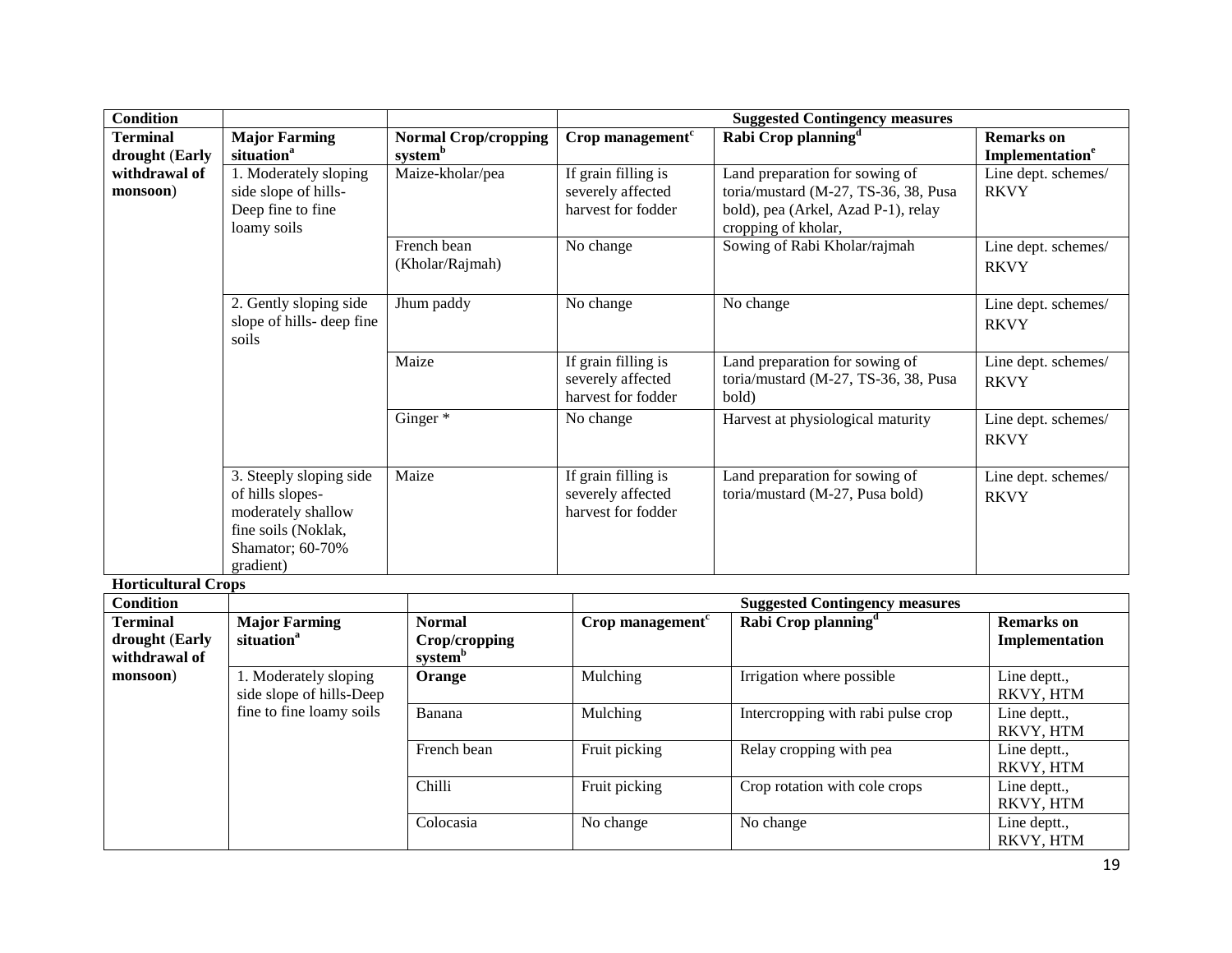| <b>Condition</b>                                   |                                                                                                                           |                                                       | <b>Suggested Contingency measures</b>                          |                                                                                                                                      |                                                        |  |
|----------------------------------------------------|---------------------------------------------------------------------------------------------------------------------------|-------------------------------------------------------|----------------------------------------------------------------|--------------------------------------------------------------------------------------------------------------------------------------|--------------------------------------------------------|--|
| <b>Terminal</b><br>drought (Early                  | <b>Major Farming</b><br>situation <sup>a</sup>                                                                            | <b>Normal Crop/cropping</b><br>systemb                | Crop management $c$                                            | Rabi Crop planning <sup>d</sup>                                                                                                      | <b>Remarks</b> on<br><b>Implementation<sup>e</sup></b> |  |
| withdrawal of<br>monsoon)                          | 1. Moderately sloping<br>side slope of hills-<br>Deep fine to fine<br>loamy soils                                         | Maize-kholar/pea                                      | If grain filling is<br>severely affected<br>harvest for fodder | Land preparation for sowing of<br>toria/mustard (M-27, TS-36, 38, Pusa<br>bold), pea (Arkel, Azad P-1), relay<br>cropping of kholar, | Line dept. schemes/<br><b>RKVY</b>                     |  |
|                                                    |                                                                                                                           | French bean<br>(Kholar/Rajmah)                        | No change                                                      | Sowing of Rabi Kholar/rajmah                                                                                                         | Line dept. schemes/<br><b>RKVY</b>                     |  |
|                                                    | 2. Gently sloping side<br>slope of hills- deep fine<br>soils                                                              | Jhum paddy                                            | No change                                                      | No change                                                                                                                            | Line dept. schemes/<br><b>RKVY</b>                     |  |
|                                                    |                                                                                                                           | Maize                                                 | If grain filling is<br>severely affected<br>harvest for fodder | Land preparation for sowing of<br>toria/mustard (M-27, TS-36, 38, Pusa<br>bold)                                                      | Line dept. schemes/<br><b>RKVY</b>                     |  |
|                                                    |                                                                                                                           | Ginger <sup>*</sup>                                   | No change                                                      | Harvest at physiological maturity                                                                                                    | Line dept. schemes/<br><b>RKVY</b>                     |  |
|                                                    | 3. Steeply sloping side<br>of hills slopes-<br>moderately shallow<br>fine soils (Noklak,<br>Shamator; 60-70%<br>gradient) | Maize                                                 |                                                                | Land preparation for sowing of<br>toria/mustard (M-27, Pusa bold)                                                                    | Line dept. schemes/<br><b>RKVY</b>                     |  |
| <b>Horticultural Crops</b>                         |                                                                                                                           |                                                       |                                                                |                                                                                                                                      |                                                        |  |
| <b>Condition</b>                                   |                                                                                                                           |                                                       |                                                                | <b>Suggested Contingency measures</b>                                                                                                |                                                        |  |
| <b>Terminal</b><br>drought (Early<br>withdrawal of | <b>Major Farming</b><br>situation <sup>a</sup>                                                                            | <b>Normal</b><br>Crop/cropping<br>system <sup>b</sup> | Crop management $c$                                            | Rabi Crop planning <sup>d</sup>                                                                                                      | <b>Remarks</b> on<br>Implementation                    |  |
| monsoon)                                           | 1. Moderately sloping<br>side slope of hills-Deep                                                                         | Orange                                                | Mulching                                                       | Irrigation where possible                                                                                                            | Line deptt.,<br>RKVY, HTM                              |  |
|                                                    | fine to fine loamy soils                                                                                                  | Banana                                                | Mulching                                                       | Intercropping with rabi pulse crop                                                                                                   | Line deptt.,<br>RKVY, HTM                              |  |
|                                                    |                                                                                                                           | French bean                                           | Fruit picking                                                  | Relay cropping with pea                                                                                                              | Line deptt.,<br>RKVY, HTM                              |  |
|                                                    |                                                                                                                           | Chilli                                                | Fruit picking                                                  | Crop rotation with cole crops                                                                                                        | Line deptt.,<br>RKVY, HTM                              |  |
|                                                    |                                                                                                                           | Colocasia                                             | No change                                                      | No change                                                                                                                            | Line deptt.,<br>RKVY, HTM                              |  |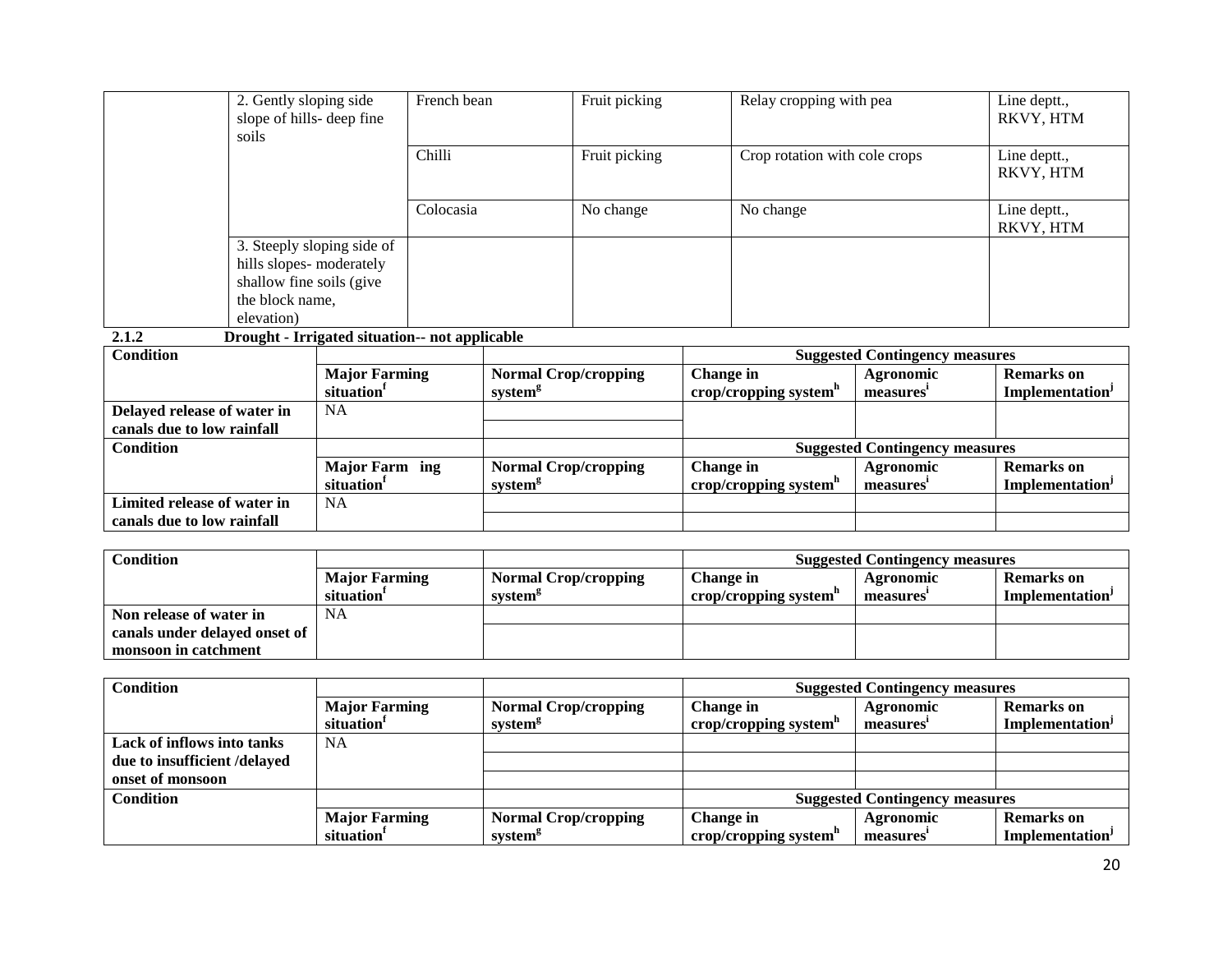|                                                           | 2. Gently sloping side<br>slope of hills-deep fine<br>soils                           |                                                | French bean |                                                    | Fruit picking |                  | Relay cropping with pea           |                                       | Line deptt.,<br>RKVY, HTM                        |
|-----------------------------------------------------------|---------------------------------------------------------------------------------------|------------------------------------------------|-------------|----------------------------------------------------|---------------|------------------|-----------------------------------|---------------------------------------|--------------------------------------------------|
|                                                           |                                                                                       |                                                | Chilli      |                                                    | Fruit picking |                  | Crop rotation with cole crops     |                                       | Line deptt.,<br>RKVY, HTM                        |
|                                                           |                                                                                       |                                                | Colocasia   |                                                    | No change     |                  | No change                         |                                       | Line deptt.,<br>RKVY, HTM                        |
|                                                           | hills slopes- moderately<br>shallow fine soils (give<br>the block name,<br>elevation) | 3. Steeply sloping side of                     |             |                                                    |               |                  |                                   |                                       |                                                  |
| 2.1.2                                                     |                                                                                       | Drought - Irrigated situation-- not applicable |             |                                                    |               |                  |                                   |                                       |                                                  |
| <b>Condition</b>                                          |                                                                                       |                                                |             |                                                    |               |                  |                                   | <b>Suggested Contingency measures</b> |                                                  |
|                                                           |                                                                                       | <b>Major Farming</b><br>situation              |             | <b>Normal Crop/cropping</b><br>system <sup>g</sup> |               | Change in        | crop/cropping system <sup>h</sup> | Agronomic<br>measures <sup>1</sup>    | <b>Remarks</b> on<br>Implementation <sup>J</sup> |
| Delayed release of water in<br>canals due to low rainfall |                                                                                       | <b>NA</b>                                      |             |                                                    |               |                  |                                   |                                       |                                                  |
| <b>Condition</b>                                          |                                                                                       |                                                |             |                                                    |               |                  |                                   | <b>Suggested Contingency measures</b> |                                                  |
|                                                           |                                                                                       | <b>Major Farm ing</b><br>situation             |             | <b>Normal Crop/cropping</b><br>system <sup>g</sup> |               | <b>Change</b> in | crop/cropping system <sup>h</sup> | Agronomic<br>measures <sup>1</sup>    | <b>Remarks</b> on<br>Implementation <sup>J</sup> |
| Limited release of water in<br>canals due to low rainfall |                                                                                       | <b>NA</b>                                      |             |                                                    |               |                  |                                   |                                       |                                                  |

| <b>Condition</b>              |                        |                             | <b>Suggested Contingency measures</b> |                       |                             |
|-------------------------------|------------------------|-----------------------------|---------------------------------------|-----------------------|-----------------------------|
|                               | <b>Major Farming</b>   | <b>Normal Crop/cropping</b> | <b>Change in</b>                      | Agronomic             | <b>Remarks</b> on           |
|                               | situation <sup>1</sup> | system <sup>8</sup>         | crop/cropping system                  | measures <sup>*</sup> | Implementation <sup>1</sup> |
| Non release of water in       | <b>NA</b>              |                             |                                       |                       |                             |
| canals under delayed onset of |                        |                             |                                       |                       |                             |
| monsoon in catchment          |                        |                             |                                       |                       |                             |

| <b>Condition</b>             |                        | <b>Suggested Contingency measures</b> |                                   |                                       |                             |
|------------------------------|------------------------|---------------------------------------|-----------------------------------|---------------------------------------|-----------------------------|
|                              | <b>Major Farming</b>   | <b>Normal Crop/cropping</b>           | Change in                         | Agronomic                             | <b>Remarks</b> on           |
|                              | situation <sup>1</sup> | system <sup>g</sup>                   | crop/cropping system $n$          | measures'                             | Implementation <sup>J</sup> |
| Lack of inflows into tanks   | <b>NA</b>              |                                       |                                   |                                       |                             |
| due to insufficient /delayed |                        |                                       |                                   |                                       |                             |
| onset of monsoon             |                        |                                       |                                   |                                       |                             |
| <b>Condition</b>             |                        |                                       |                                   | <b>Suggested Contingency measures</b> |                             |
|                              | <b>Major Farming</b>   | <b>Normal Crop/cropping</b>           | Change in                         | Agronomic                             | <b>Remarks</b> on           |
|                              | situation <sup>1</sup> | system <sup>g</sup>                   | crop/cropping system $\mathrm{d}$ | measures'                             | Implementation <sup>1</sup> |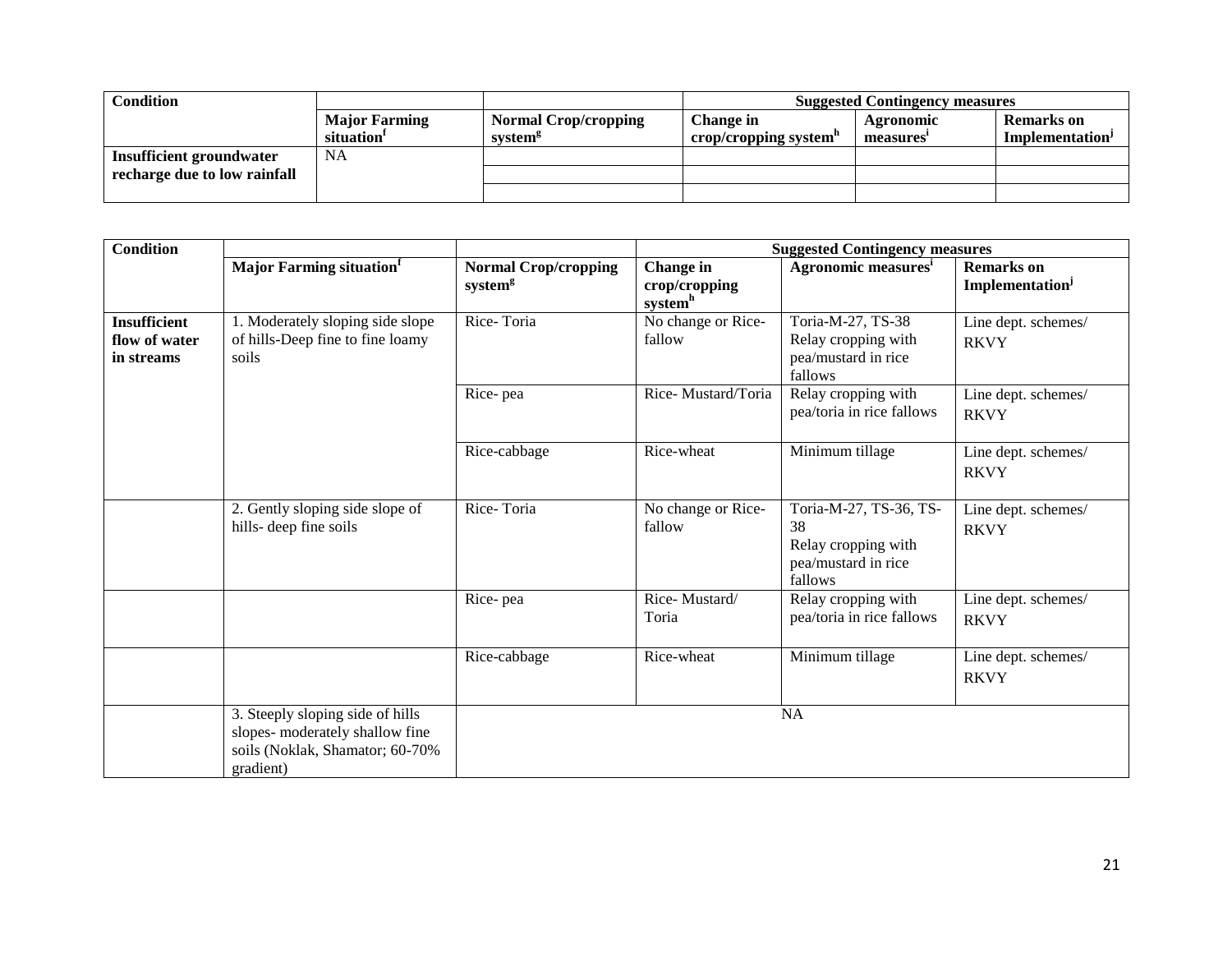| <b>Condition</b>                |                        |                             | <b>Suggested Contingency measures</b> |                       |                   |
|---------------------------------|------------------------|-----------------------------|---------------------------------------|-----------------------|-------------------|
|                                 | <b>Major Farming</b>   | <b>Normal Crop/cropping</b> | Change in                             | Agronomic             | <b>Remarks</b> on |
|                                 | situation <sup>1</sup> | system <sup>g</sup>         | crop/cropping system                  | measures <sup>®</sup> | Implementation'   |
| <b>Insufficient groundwater</b> | <b>NA</b>              |                             |                                       |                       |                   |
| recharge due to low rainfall    |                        |                             |                                       |                       |                   |
|                                 |                        |                             |                                       |                       |                   |

| <b>Condition</b>    |                                             |                             | <b>Suggested Contingency measures</b> |                                 |                             |  |
|---------------------|---------------------------------------------|-----------------------------|---------------------------------------|---------------------------------|-----------------------------|--|
|                     | <b>Major Farming situation</b> <sup>f</sup> | <b>Normal Crop/cropping</b> | Change in                             | Agronomic measures <sup>i</sup> | <b>Remarks</b> on           |  |
|                     |                                             | system <sup>g</sup>         | crop/cropping                         |                                 | Implementation <sup>J</sup> |  |
|                     |                                             |                             | system <sup>h</sup>                   |                                 |                             |  |
| <b>Insufficient</b> | 1. Moderately sloping side slope            | Rice-Toria                  | No change or Rice-                    | Toria-M-27, TS-38               | Line dept. schemes/         |  |
| flow of water       | of hills-Deep fine to fine loamy            |                             | fallow                                | Relay cropping with             | <b>RKVY</b>                 |  |
| in streams          | soils                                       |                             |                                       | pea/mustard in rice<br>fallows  |                             |  |
|                     |                                             | Rice-pea                    | Rice-Mustard/Toria                    | Relay cropping with             | Line dept. schemes/         |  |
|                     |                                             |                             |                                       | pea/toria in rice fallows       | <b>RKVY</b>                 |  |
|                     |                                             | Rice-cabbage                | Rice-wheat                            | Minimum tillage                 | Line dept. schemes/         |  |
|                     |                                             |                             |                                       |                                 | <b>RKVY</b>                 |  |
|                     |                                             |                             |                                       |                                 |                             |  |
|                     | 2. Gently sloping side slope of             | Rice-Toria                  | No change or Rice-                    | Toria-M-27, TS-36, TS-          | Line dept. schemes/         |  |
|                     | hills-deep fine soils                       |                             | fallow                                | 38                              | <b>RKVY</b>                 |  |
|                     |                                             |                             |                                       | Relay cropping with             |                             |  |
|                     |                                             |                             |                                       | pea/mustard in rice<br>fallows  |                             |  |
|                     |                                             | Rice-pea                    | Rice-Mustard/                         | Relay cropping with             | Line dept. schemes/         |  |
|                     |                                             |                             | Toria                                 | pea/toria in rice fallows       | <b>RKVY</b>                 |  |
|                     |                                             |                             |                                       |                                 |                             |  |
|                     |                                             | Rice-cabbage                | Rice-wheat                            | Minimum tillage                 | Line dept. schemes/         |  |
|                     |                                             |                             |                                       |                                 | <b>RKVY</b>                 |  |
|                     |                                             |                             |                                       |                                 |                             |  |
|                     | 3. Steeply sloping side of hills            |                             |                                       | <b>NA</b>                       |                             |  |
|                     | slopes- moderately shallow fine             |                             |                                       |                                 |                             |  |
|                     | soils (Noklak, Shamator; 60-70%             |                             |                                       |                                 |                             |  |
|                     | gradient)                                   |                             |                                       |                                 |                             |  |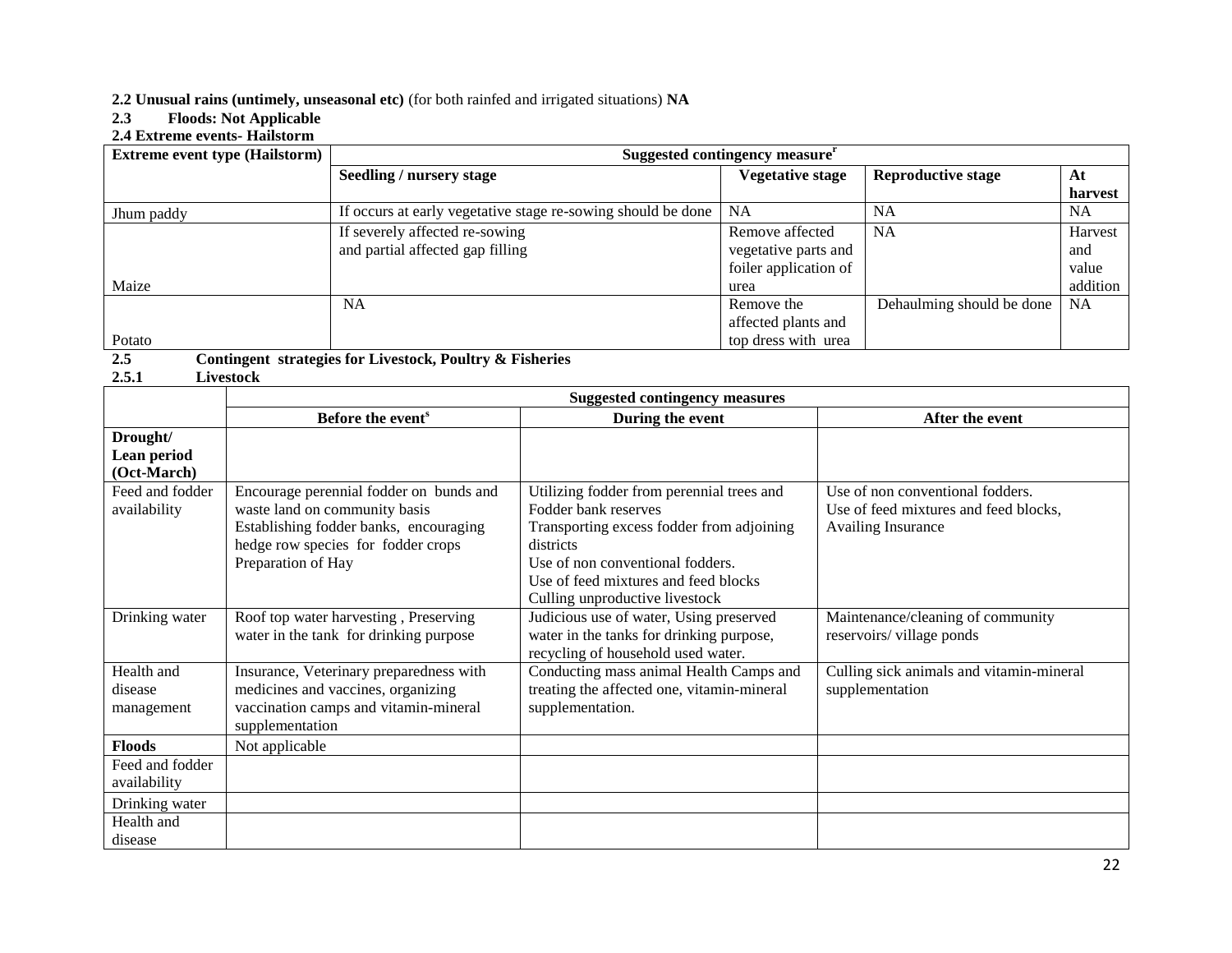### **2.2 Unusual rains (untimely, unseasonal etc)** (for both rainfed and irrigated situations) **NA**

#### **2.3 Floods: Not Applicable**

#### **2.4 Extreme events- Hailstorm**

| <b>Extreme event type (Hailstorm)</b>                                       |                                                                                                                                                                                |                                                                                 | Suggested contingency measure <sup>r</sup>                                                                                                                                                                                                |                                                          |                                                                                                        |                                                               |               |  |  |  |
|-----------------------------------------------------------------------------|--------------------------------------------------------------------------------------------------------------------------------------------------------------------------------|---------------------------------------------------------------------------------|-------------------------------------------------------------------------------------------------------------------------------------------------------------------------------------------------------------------------------------------|----------------------------------------------------------|--------------------------------------------------------------------------------------------------------|---------------------------------------------------------------|---------------|--|--|--|
|                                                                             |                                                                                                                                                                                | Seedling / nursery stage                                                        |                                                                                                                                                                                                                                           | <b>Vegetative stage</b>                                  |                                                                                                        | <b>Reproductive stage</b>                                     | At<br>harvest |  |  |  |
| Jhum paddy                                                                  |                                                                                                                                                                                |                                                                                 | If occurs at early vegetative stage re-sowing should be done                                                                                                                                                                              | <b>NA</b>                                                |                                                                                                        | <b>NA</b>                                                     | <b>NA</b>     |  |  |  |
| If severely affected re-sowing<br>and partial affected gap filling<br>Maize |                                                                                                                                                                                |                                                                                 | Remove affected<br>vegetative parts and<br>foiler application of<br>urea                                                                                                                                                                  |                                                          | NA                                                                                                     | <b>Harvest</b><br>and<br>value<br>addition                    |               |  |  |  |
| Potato<br>2.5<br>2.5.1                                                      | <b>Livestock</b>                                                                                                                                                               | <b>NA</b><br>Contingent strategies for Livestock, Poultry & Fisheries           |                                                                                                                                                                                                                                           | Remove the<br>affected plants and<br>top dress with urea |                                                                                                        | Dehaulming should be done                                     | <b>NA</b>     |  |  |  |
|                                                                             |                                                                                                                                                                                |                                                                                 | <b>Suggested contingency measures</b>                                                                                                                                                                                                     |                                                          |                                                                                                        |                                                               |               |  |  |  |
|                                                                             |                                                                                                                                                                                | Before the event <sup>s</sup>                                                   | During the event                                                                                                                                                                                                                          |                                                          | After the event                                                                                        |                                                               |               |  |  |  |
| Drought/<br>Lean period<br>(Oct-March)                                      |                                                                                                                                                                                |                                                                                 |                                                                                                                                                                                                                                           |                                                          |                                                                                                        |                                                               |               |  |  |  |
| Feed and fodder<br>availability                                             | Encourage perennial fodder on bunds and<br>waste land on community basis<br>Establishing fodder banks, encouraging<br>hedge row species for fodder crops<br>Preparation of Hay |                                                                                 | Utilizing fodder from perennial trees and<br>Fodder bank reserves<br>Transporting excess fodder from adjoining<br>districts<br>Use of non conventional fodders.<br>Use of feed mixtures and feed blocks<br>Culling unproductive livestock |                                                          | Use of non conventional fodders.<br>Use of feed mixtures and feed blocks,<br><b>Availing Insurance</b> |                                                               |               |  |  |  |
| Drinking water                                                              |                                                                                                                                                                                | Roof top water harvesting, Preserving<br>water in the tank for drinking purpose | Judicious use of water, Using preserved<br>water in the tanks for drinking purpose,<br>recycling of household used water.                                                                                                                 |                                                          |                                                                                                        | Maintenance/cleaning of community<br>reservoirs/village ponds |               |  |  |  |
| Health and<br>disease<br>management                                         | Insurance, Veterinary preparedness with<br>medicines and vaccines, organizing<br>vaccination camps and vitamin-mineral<br>supplementation                                      |                                                                                 | Conducting mass animal Health Camps and<br>treating the affected one, vitamin-mineral<br>supplementation.                                                                                                                                 |                                                          |                                                                                                        | Culling sick animals and vitamin-mineral<br>supplementation   |               |  |  |  |
| <b>Floods</b>                                                               | Not applicable                                                                                                                                                                 |                                                                                 |                                                                                                                                                                                                                                           |                                                          |                                                                                                        |                                                               |               |  |  |  |
| Feed and fodder<br>availability                                             |                                                                                                                                                                                |                                                                                 |                                                                                                                                                                                                                                           |                                                          |                                                                                                        |                                                               |               |  |  |  |
| Drinking water                                                              |                                                                                                                                                                                |                                                                                 |                                                                                                                                                                                                                                           |                                                          |                                                                                                        |                                                               |               |  |  |  |
| Health and<br>disease                                                       |                                                                                                                                                                                |                                                                                 |                                                                                                                                                                                                                                           |                                                          |                                                                                                        |                                                               |               |  |  |  |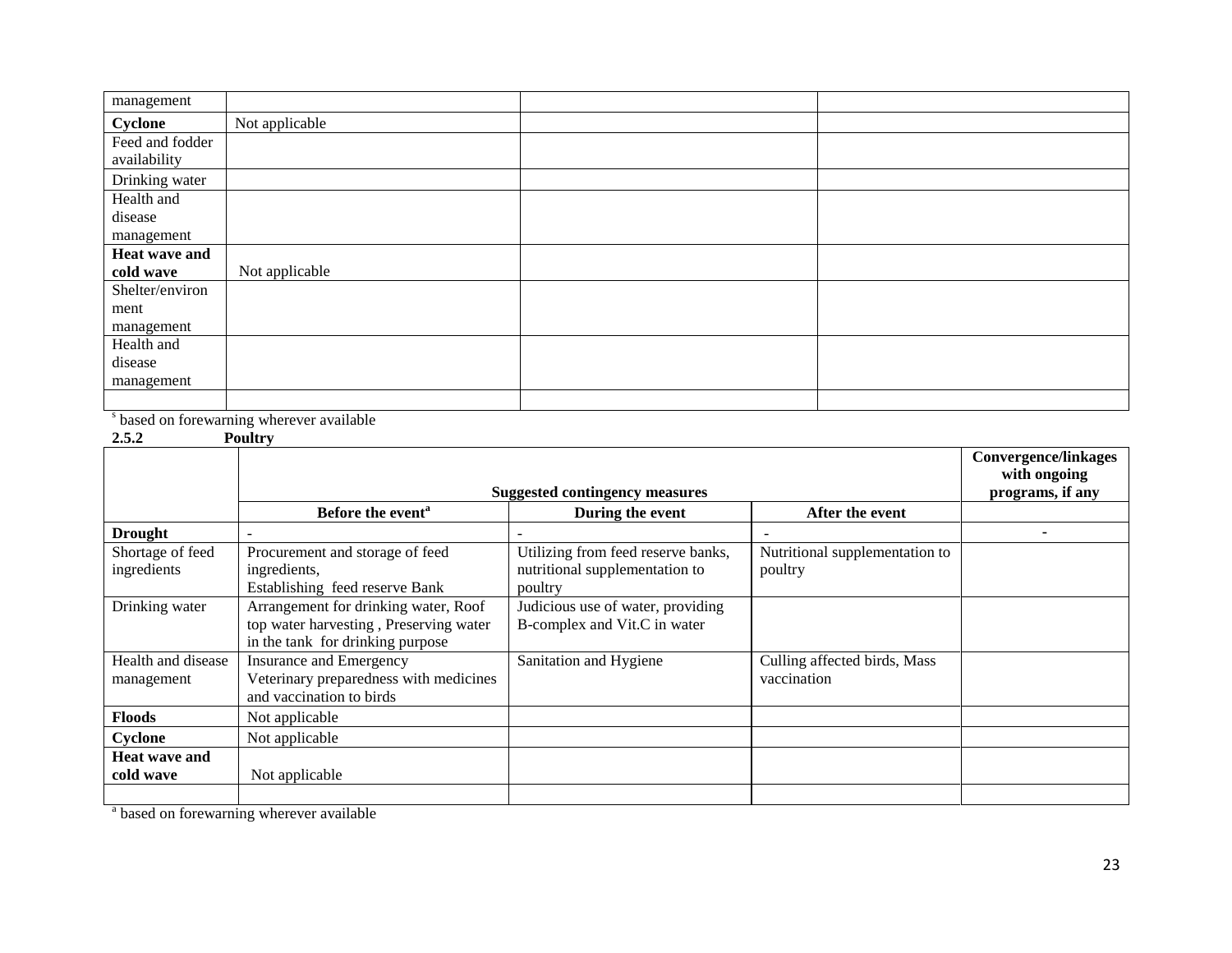| management      |                |  |
|-----------------|----------------|--|
| Cyclone         | Not applicable |  |
| Feed and fodder |                |  |
| availability    |                |  |
| Drinking water  |                |  |
| Health and      |                |  |
| disease         |                |  |
| management      |                |  |
| Heat wave and   |                |  |
| cold wave       | Not applicable |  |
| Shelter/environ |                |  |
| ment            |                |  |
| management      |                |  |
| Health and      |                |  |
| disease         |                |  |
| management      |                |  |
|                 |                |  |

s based on forewarning wherever available

**2.5.2 Poultry** 

|                                   |                                                                                                                    |                                                                                 |                                             | <b>Convergence/linkages</b><br>with ongoing |
|-----------------------------------|--------------------------------------------------------------------------------------------------------------------|---------------------------------------------------------------------------------|---------------------------------------------|---------------------------------------------|
|                                   |                                                                                                                    | <b>Suggested contingency measures</b>                                           |                                             | programs, if any                            |
|                                   | Before the event <sup>a</sup>                                                                                      | During the event                                                                | After the event                             |                                             |
| <b>Drought</b>                    |                                                                                                                    |                                                                                 |                                             |                                             |
| Shortage of feed<br>ingredients   | Procurement and storage of feed<br>ingredients,<br>Establishing feed reserve Bank                                  | Utilizing from feed reserve banks,<br>nutritional supplementation to<br>poultry | Nutritional supplementation to<br>poultry   |                                             |
| Drinking water                    | Arrangement for drinking water, Roof<br>top water harvesting, Preserving water<br>in the tank for drinking purpose | Judicious use of water, providing<br>B-complex and Vit.C in water               |                                             |                                             |
| Health and disease<br>management  | <b>Insurance and Emergency</b><br>Veterinary preparedness with medicines<br>and vaccination to birds               | Sanitation and Hygiene                                                          | Culling affected birds, Mass<br>vaccination |                                             |
| <b>Floods</b>                     | Not applicable                                                                                                     |                                                                                 |                                             |                                             |
| Cyclone                           | Not applicable                                                                                                     |                                                                                 |                                             |                                             |
| <b>Heat wave and</b><br>cold wave | Not applicable                                                                                                     |                                                                                 |                                             |                                             |
|                                   |                                                                                                                    |                                                                                 |                                             |                                             |

<sup>a</sup> based on forewarning wherever available